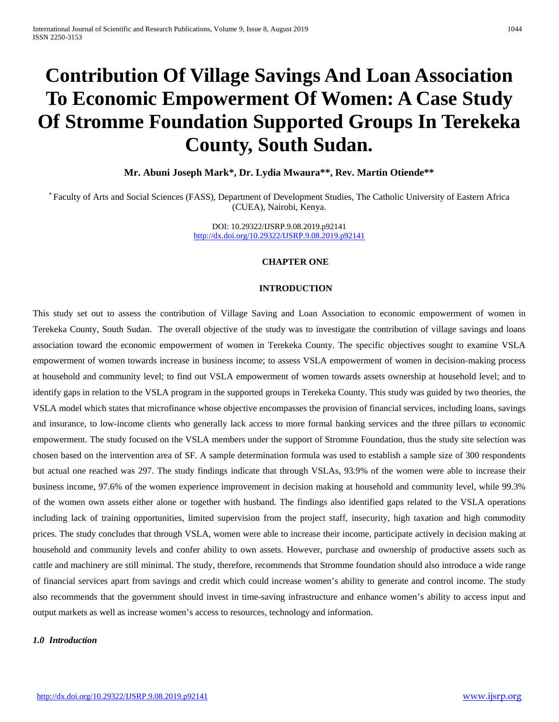# **Contribution Of Village Savings And Loan Association To Economic Empowerment Of Women: A Case Study Of Stromme Foundation Supported Groups In Terekeka County, South Sudan.**

**Mr. Abuni Joseph Mark\*, Dr. Lydia Mwaura\*\*, Rev. Martin Otiende\*\***

\* Faculty of Arts and Social Sciences (FASS), Department of Development Studies, The Catholic University of Eastern Africa (CUEA), Nairobi, Kenya.

> DOI: 10.29322/IJSRP.9.08.2019.p92141 <http://dx.doi.org/10.29322/IJSRP.9.08.2019.p92141>

#### **CHAPTER ONE**

#### **INTRODUCTION**

This study set out to assess the contribution of Village Saving and Loan Association to economic empowerment of women in Terekeka County, South Sudan. The overall objective of the study was to investigate the contribution of village savings and loans association toward the economic empowerment of women in Terekeka County. The specific objectives sought to examine VSLA empowerment of women towards increase in business income; to assess VSLA empowerment of women in decision-making process at household and community level; to find out VSLA empowerment of women towards assets ownership at household level; and to identify gaps in relation to the VSLA program in the supported groups in Terekeka County. This study was guided by two theories, the VSLA model which states that microfinance whose objective encompasses the provision of financial services, including loans, savings and insurance, to low-income clients who generally lack access to more formal banking services and the three pillars to economic empowerment. The study focused on the VSLA members under the support of Stromme Foundation, thus the study site selection was chosen based on the intervention area of SF. A sample determination formula was used to establish a sample size of 300 respondents but actual one reached was 297. The study findings indicate that through VSLAs, 93.9% of the women were able to increase their business income, 97.6% of the women experience improvement in decision making at household and community level, while 99.3% of the women own assets either alone or together with husband. The findings also identified gaps related to the VSLA operations including lack of training opportunities, limited supervision from the project staff, insecurity, high taxation and high commodity prices. The study concludes that through VSLA, women were able to increase their income, participate actively in decision making at household and community levels and confer ability to own assets. However, purchase and ownership of productive assets such as cattle and machinery are still minimal. The study, therefore, recommends that Stromme foundation should also introduce a wide range of financial services apart from savings and credit which could increase women's ability to generate and control income. The study also recommends that the government should invest in time-saving infrastructure and enhance women's ability to access input and output markets as well as increase women's access to resources, technology and information.

#### *1.0 Introduction*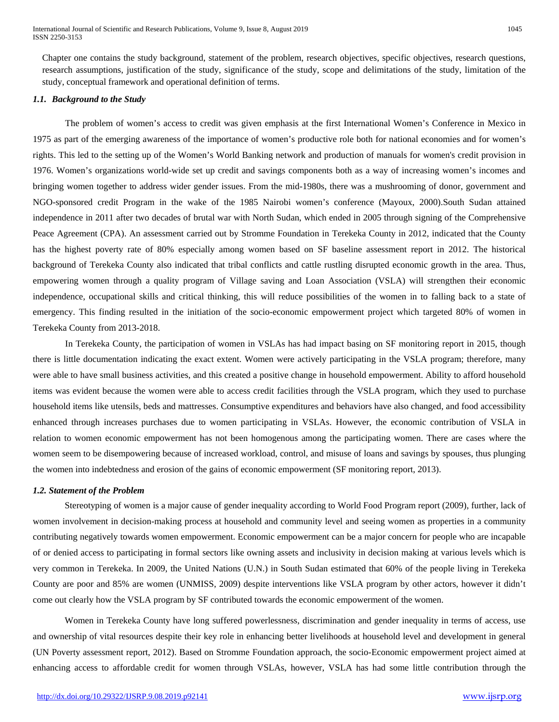Chapter one contains the study background, statement of the problem, research objectives, specific objectives, research questions, research assumptions, justification of the study, significance of the study, scope and delimitations of the study, limitation of the study, conceptual framework and operational definition of terms.

# *1.1. Background to the Study*

The problem of women's access to credit was given emphasis at the first International Women's Conference in Mexico in 1975 as part of the emerging awareness of the importance of women's productive role both for national economies and for women's rights. This led to the setting up of the Women's World Banking network and production of manuals for women's credit provision in 1976. Women's organizations world-wide set up credit and savings components both as a way of increasing women's incomes and bringing women together to address wider gender issues. From the mid-1980s, there was a mushrooming of donor, government and NGO-sponsored credit Program in the wake of the 1985 Nairobi women's conference (Mayoux, 2000).South Sudan attained independence in 2011 after two decades of brutal war with North Sudan, which ended in 2005 through signing of the Comprehensive Peace Agreement (CPA). An assessment carried out by Stromme Foundation in Terekeka County in 2012, indicated that the County has the highest poverty rate of 80% especially among women based on SF baseline assessment report in 2012. The historical background of Terekeka County also indicated that tribal conflicts and cattle rustling disrupted economic growth in the area. Thus, empowering women through a quality program of Village saving and Loan Association (VSLA) will strengthen their economic independence, occupational skills and critical thinking, this will reduce possibilities of the women in to falling back to a state of emergency. This finding resulted in the initiation of the socio-economic empowerment project which targeted 80% of women in Terekeka County from 2013-2018.

In Terekeka County, the participation of women in VSLAs has had impact basing on SF monitoring report in 2015, though there is little documentation indicating the exact extent. Women were actively participating in the VSLA program; therefore, many were able to have small business activities, and this created a positive change in household empowerment. Ability to afford household items was evident because the women were able to access credit facilities through the VSLA program, which they used to purchase household items like utensils, beds and mattresses. Consumptive expenditures and behaviors have also changed, and food accessibility enhanced through increases purchases due to women participating in VSLAs. However, the economic contribution of VSLA in relation to women economic empowerment has not been homogenous among the participating women. There are cases where the women seem to be disempowering because of increased workload, control, and misuse of loans and savings by spouses, thus plunging the women into indebtedness and erosion of the gains of economic empowerment (SF monitoring report, 2013).

#### *1.2. Statement of the Problem*

Stereotyping of women is a major cause of gender inequality according to World Food Program report (2009), further, lack of women involvement in decision-making process at household and community level and seeing women as properties in a community contributing negatively towards women empowerment. Economic empowerment can be a major concern for people who are incapable of or denied access to participating in formal sectors like owning assets and inclusivity in decision making at various levels which is very common in Terekeka. In 2009, the United Nations (U.N.) in South Sudan estimated that 60% of the people living in Terekeka County are poor and 85% are women (UNMISS, 2009) despite interventions like VSLA program by other actors, however it didn't come out clearly how the VSLA program by SF contributed towards the economic empowerment of the women.

Women in Terekeka County have long suffered powerlessness, discrimination and gender inequality in terms of access, use and ownership of vital resources despite their key role in enhancing better livelihoods at household level and development in general (UN Poverty assessment report, 2012). Based on Stromme Foundation approach, the socio-Economic empowerment project aimed at enhancing access to affordable credit for women through VSLAs, however, VSLA has had some little contribution through the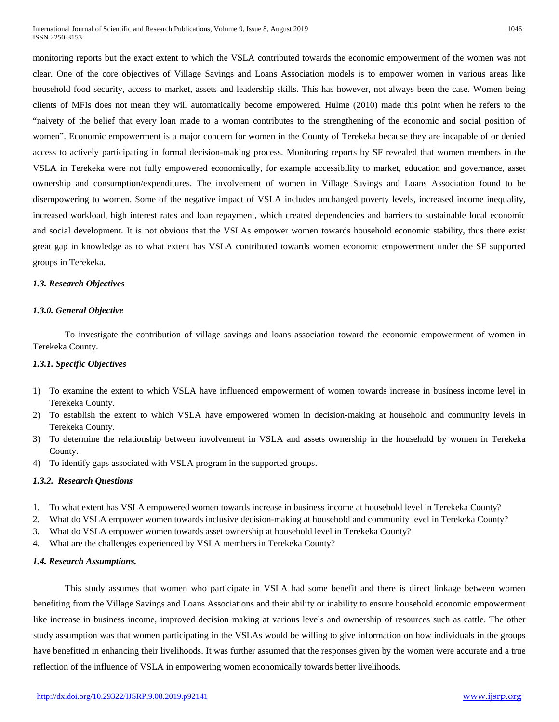monitoring reports but the exact extent to which the VSLA contributed towards the economic empowerment of the women was not clear. One of the core objectives of Village Savings and Loans Association models is to empower women in various areas like household food security, access to market, assets and leadership skills. This has however, not always been the case. Women being clients of MFIs does not mean they will automatically become empowered. Hulme (2010) made this point when he refers to the "naivety of the belief that every loan made to a woman contributes to the strengthening of the economic and social position of women". Economic empowerment is a major concern for women in the County of Terekeka because they are incapable of or denied access to actively participating in formal decision-making process. Monitoring reports by SF revealed that women members in the VSLA in Terekeka were not fully empowered economically, for example accessibility to market, education and governance, asset ownership and consumption/expenditures. The involvement of women in Village Savings and Loans Association found to be disempowering to women. Some of the negative impact of VSLA includes unchanged poverty levels, increased income inequality, increased workload, high interest rates and loan repayment, which created dependencies and barriers to sustainable local economic and social development. It is not obvious that the VSLAs empower women towards household economic stability, thus there exist great gap in knowledge as to what extent has VSLA contributed towards women economic empowerment under the SF supported groups in Terekeka.

# *1.3. Research Objectives*

# *1.3.0. General Objective*

To investigate the contribution of village savings and loans association toward the economic empowerment of women in Terekeka County.

# *1.3.1. Specific Objectives*

- 1) To examine the extent to which VSLA have influenced empowerment of women towards increase in business income level in Terekeka County.
- 2) To establish the extent to which VSLA have empowered women in decision-making at household and community levels in Terekeka County.
- 3) To determine the relationship between involvement in VSLA and assets ownership in the household by women in Terekeka County.
- 4) To identify gaps associated with VSLA program in the supported groups.

# *1.3.2. Research Questions*

- 1. To what extent has VSLA empowered women towards increase in business income at household level in Terekeka County?
- 2. What do VSLA empower women towards inclusive decision-making at household and community level in Terekeka County?
- 3. What do VSLA empower women towards asset ownership at household level in Terekeka County?
- 4. What are the challenges experienced by VSLA members in Terekeka County?

# *1.4. Research Assumptions.*

This study assumes that women who participate in VSLA had some benefit and there is direct linkage between women benefiting from the Village Savings and Loans Associations and their ability or inability to ensure household economic empowerment like increase in business income, improved decision making at various levels and ownership of resources such as cattle. The other study assumption was that women participating in the VSLAs would be willing to give information on how individuals in the groups have benefitted in enhancing their livelihoods. It was further assumed that the responses given by the women were accurate and a true reflection of the influence of VSLA in empowering women economically towards better livelihoods.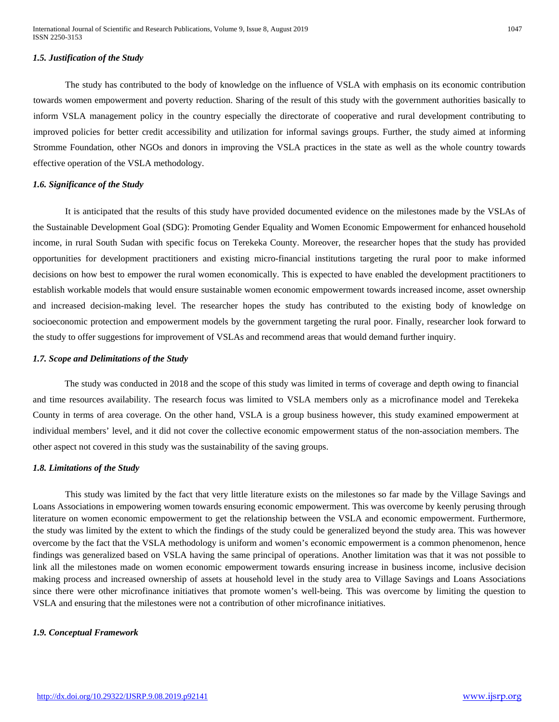#### *1.5. Justification of the Study*

The study has contributed to the body of knowledge on the influence of VSLA with emphasis on its economic contribution towards women empowerment and poverty reduction. Sharing of the result of this study with the government authorities basically to inform VSLA management policy in the country especially the directorate of cooperative and rural development contributing to improved policies for better credit accessibility and utilization for informal savings groups. Further, the study aimed at informing Stromme Foundation, other NGOs and donors in improving the VSLA practices in the state as well as the whole country towards effective operation of the VSLA methodology.

#### *1.6. Significance of the Study*

It is anticipated that the results of this study have provided documented evidence on the milestones made by the VSLAs of the Sustainable Development Goal (SDG): Promoting Gender Equality and Women Economic Empowerment for enhanced household income, in rural South Sudan with specific focus on Terekeka County. Moreover, the researcher hopes that the study has provided opportunities for development practitioners and existing micro-financial institutions targeting the rural poor to make informed decisions on how best to empower the rural women economically. This is expected to have enabled the development practitioners to establish workable models that would ensure sustainable women economic empowerment towards increased income, asset ownership and increased decision-making level. The researcher hopes the study has contributed to the existing body of knowledge on socioeconomic protection and empowerment models by the government targeting the rural poor. Finally, researcher look forward to the study to offer suggestions for improvement of VSLAs and recommend areas that would demand further inquiry.

# *1.7. Scope and Delimitations of the Study*

The study was conducted in 2018 and the scope of this study was limited in terms of coverage and depth owing to financial and time resources availability. The research focus was limited to VSLA members only as a microfinance model and Terekeka County in terms of area coverage. On the other hand, VSLA is a group business however, this study examined empowerment at individual members' level, and it did not cover the collective economic empowerment status of the non-association members. The other aspect not covered in this study was the sustainability of the saving groups.

#### *1.8. Limitations of the Study*

This study was limited by the fact that very little literature exists on the milestones so far made by the Village Savings and Loans Associations in empowering women towards ensuring economic empowerment. This was overcome by keenly perusing through literature on women economic empowerment to get the relationship between the VSLA and economic empowerment. Furthermore, the study was limited by the extent to which the findings of the study could be generalized beyond the study area. This was however overcome by the fact that the VSLA methodology is uniform and women's economic empowerment is a common phenomenon, hence findings was generalized based on VSLA having the same principal of operations. Another limitation was that it was not possible to link all the milestones made on women economic empowerment towards ensuring increase in business income, inclusive decision making process and increased ownership of assets at household level in the study area to Village Savings and Loans Associations since there were other microfinance initiatives that promote women's well-being. This was overcome by limiting the question to VSLA and ensuring that the milestones were not a contribution of other microfinance initiatives.

#### *1.9. Conceptual Framework*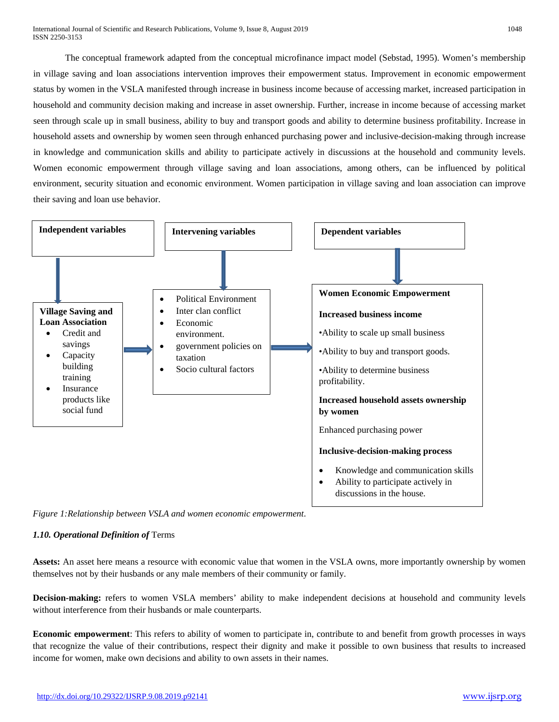The conceptual framework adapted from the conceptual microfinance impact model (Sebstad, 1995). Women's membership in village saving and loan associations intervention improves their empowerment status. Improvement in economic empowerment status by women in the VSLA manifested through increase in business income because of accessing market, increased participation in household and community decision making and increase in asset ownership. Further, increase in income because of accessing market seen through scale up in small business, ability to buy and transport goods and ability to determine business profitability. Increase in household assets and ownership by women seen through enhanced purchasing power and inclusive-decision-making through increase in knowledge and communication skills and ability to participate actively in discussions at the household and community levels. Women economic empowerment through village saving and loan associations, among others, can be influenced by political environment, security situation and economic environment. Women participation in village saving and loan association can improve their saving and loan use behavior.



*Figure 1:Relationship between VSLA and women economic empowerment*.

# *1.10. Operational Definition of* Terms

Assets: An asset here means a resource with economic value that women in the VSLA owns, more importantly ownership by women themselves not by their husbands or any male members of their community or family.

**Decision-making:** refers to women VSLA members' ability to make independent decisions at household and community levels without interference from their husbands or male counterparts.

**Economic empowerment**: This refers to ability of women to participate in, contribute to and benefit from growth processes in ways that recognize the value of their contributions, respect their dignity and make it possible to own business that results to increased income for women, make own decisions and ability to own assets in their names.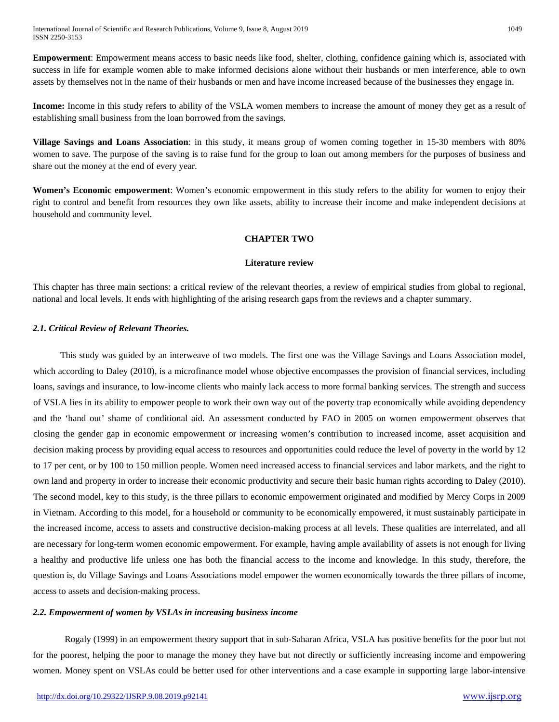International Journal of Scientific and Research Publications, Volume 9, Issue 8, August 2019 1049 ISSN 2250-3153

**Empowerment**: Empowerment means access to basic needs like food, shelter, clothing, confidence gaining which is, associated with success in life for example women able to make informed decisions alone without their husbands or men interference, able to own assets by themselves not in the name of their husbands or men and have income increased because of the businesses they engage in.

**Income:** Income in this study refers to ability of the VSLA women members to increase the amount of money they get as a result of establishing small business from the loan borrowed from the savings.

**Village Savings and Loans Association**: in this study, it means group of women coming together in 15-30 members with 80% women to save. The purpose of the saving is to raise fund for the group to loan out among members for the purposes of business and share out the money at the end of every year.

**Women's Economic empowerment**: Women's economic empowerment in this study refers to the ability for women to enjoy their right to control and benefit from resources they own like assets, ability to increase their income and make independent decisions at household and community level.

#### **CHAPTER TWO**

#### **Literature review**

This chapter has three main sections: a critical review of the relevant theories, a review of empirical studies from global to regional, national and local levels. It ends with highlighting of the arising research gaps from the reviews and a chapter summary.

#### *2.1. Critical Review of Relevant Theories.*

 This study was guided by an interweave of two models. The first one was the Village Savings and Loans Association model, which according to Daley (2010), is a microfinance model whose objective encompasses the provision of financial services, including loans, savings and insurance, to low-income clients who mainly lack access to more formal banking services. The strength and success of VSLA lies in its ability to empower people to work their own way out of the poverty trap economically while avoiding dependency and the 'hand out' shame of conditional aid. An assessment conducted by FAO in 2005 on women empowerment observes that closing the gender gap in economic empowerment or increasing women's contribution to increased income, asset acquisition and decision making process by providing equal access to resources and opportunities could reduce the level of poverty in the world by 12 to 17 per cent, or by 100 to 150 million people. Women need increased access to financial services and labor markets, and the right to own land and property in order to increase their economic productivity and secure their basic human rights according to Daley (2010). The second model, key to this study, is the three pillars to economic empowerment originated and modified by Mercy Corps in 2009 in Vietnam. According to this model, for a household or community to be economically empowered, it must sustainably participate in the increased income, access to assets and constructive decision-making process at all levels. These qualities are interrelated, and all are necessary for long-term women economic empowerment. For example, having ample availability of assets is not enough for living a healthy and productive life unless one has both the financial access to the income and knowledge. In this study, therefore, the question is, do Village Savings and Loans Associations model empower the women economically towards the three pillars of income, access to assets and decision-making process.

#### *2.2. Empowerment of women by VSLAs in increasing business income*

Rogaly (1999) in an empowerment theory support that in sub-Saharan Africa, VSLA has positive benefits for the poor but not for the poorest, helping the poor to manage the money they have but not directly or sufficiently increasing income and empowering women. Money spent on VSLAs could be better used for other interventions and a case example in supporting large labor-intensive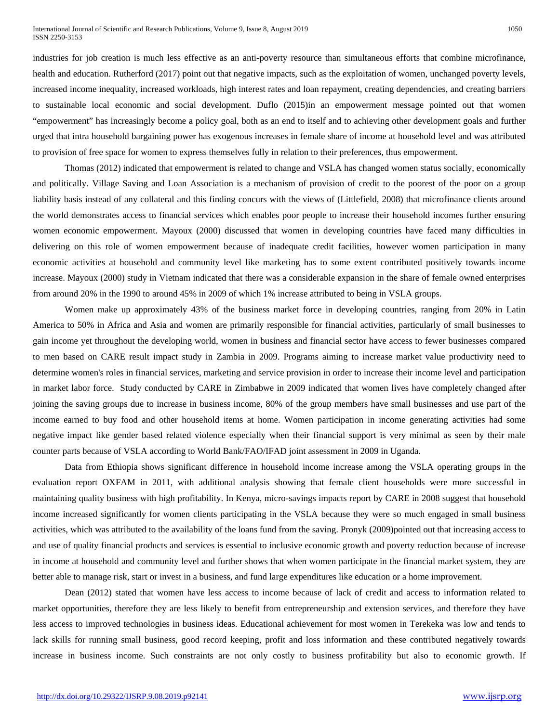industries for job creation is much less effective as an anti-poverty resource than simultaneous efforts that combine microfinance, health and education. Rutherford (2017) point out that negative impacts, such as the exploitation of women, unchanged poverty levels, increased income inequality, increased workloads, high interest rates and loan repayment, creating dependencies, and creating barriers to sustainable local economic and social development. Duflo (2015)in an empowerment message pointed out that women "empowerment" has increasingly become a policy goal, both as an end to itself and to achieving other development goals and further urged that intra household bargaining power has exogenous increases in female share of income at household level and was attributed to provision of free space for women to express themselves fully in relation to their preferences, thus empowerment.

Thomas (2012) indicated that empowerment is related to change and VSLA has changed women status socially, economically and politically. Village Saving and Loan Association is a mechanism of provision of credit to the poorest of the poor on a group liability basis instead of any collateral and this finding concurs with the views of (Littlefield, 2008) that microfinance clients around the world demonstrates access to financial services which enables poor people to increase their household incomes further ensuring women economic empowerment. Mayoux (2000) discussed that women in developing countries have faced many difficulties in delivering on this role of women empowerment because of inadequate credit facilities, however women participation in many economic activities at household and community level like marketing has to some extent contributed positively towards income increase. Mayoux (2000) study in Vietnam indicated that there was a considerable expansion in the share of female owned enterprises from around 20% in the 1990 to around 45% in 2009 of which 1% increase attributed to being in VSLA groups.

Women make up approximately 43% of the business market force in developing countries, ranging from 20% in Latin America to 50% in Africa and Asia and women are primarily responsible for financial activities, particularly of small businesses to gain income yet throughout the developing world, women in business and financial sector have access to fewer businesses compared to men based on CARE result impact study in Zambia in 2009. Programs aiming to increase market value productivity need to determine women's roles in financial services, marketing and service provision in order to increase their income level and participation in market labor force. Study conducted by CARE in Zimbabwe in 2009 indicated that women lives have completely changed after joining the saving groups due to increase in business income, 80% of the group members have small businesses and use part of the income earned to buy food and other household items at home. Women participation in income generating activities had some negative impact like gender based related violence especially when their financial support is very minimal as seen by their male counter parts because of VSLA according to World Bank/FAO/IFAD joint assessment in 2009 in Uganda.

Data from Ethiopia shows significant difference in household income increase among the VSLA operating groups in the evaluation report OXFAM in 2011, with additional analysis showing that female client households were more successful in maintaining quality business with high profitability. In Kenya, micro-savings impacts report by CARE in 2008 suggest that household income increased significantly for women clients participating in the VSLA because they were so much engaged in small business activities, which was attributed to the availability of the loans fund from the saving. Pronyk (2009)pointed out that increasing access to and use of quality financial products and services is essential to inclusive economic growth and poverty reduction because of increase in income at household and community level and further shows that when women participate in the financial market system, they are better able to manage risk, start or invest in a business, and fund large expenditures like education or a home improvement.

Dean (2012) stated that women have less access to income because of lack of credit and access to information related to market opportunities, therefore they are less likely to benefit from entrepreneurship and extension services, and therefore they have less access to improved technologies in business ideas. Educational achievement for most women in Terekeka was low and tends to lack skills for running small business, good record keeping, profit and loss information and these contributed negatively towards increase in business income. Such constraints are not only costly to business profitability but also to economic growth. If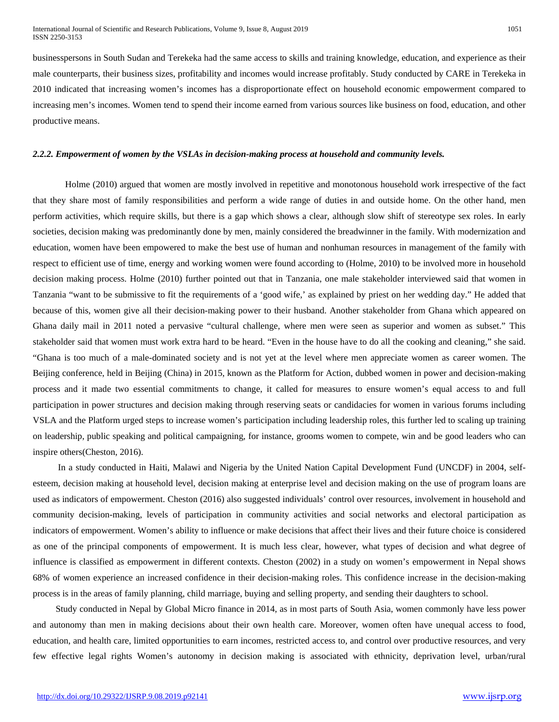businesspersons in South Sudan and Terekeka had the same access to skills and training knowledge, education, and experience as their male counterparts, their business sizes, profitability and incomes would increase profitably. Study conducted by CARE in Terekeka in 2010 indicated that increasing women's incomes has a disproportionate effect on household economic empowerment compared to increasing men's incomes. Women tend to spend their income earned from various sources like business on food, education, and other productive means.

#### *2.2.2. Empowerment of women by the VSLAs in decision-making process at household and community levels.*

Holme (2010) argued that women are mostly involved in repetitive and monotonous household work irrespective of the fact that they share most of family responsibilities and perform a wide range of duties in and outside home. On the other hand, men perform activities, which require skills, but there is a gap which shows a clear, although slow shift of stereotype sex roles. In early societies, decision making was predominantly done by men, mainly considered the breadwinner in the family. With modernization and education, women have been empowered to make the best use of human and nonhuman resources in management of the family with respect to efficient use of time, energy and working women were found according to (Holme, 2010) to be involved more in household decision making process. Holme (2010) further pointed out that in Tanzania, one male stakeholder interviewed said that women in Tanzania "want to be submissive to fit the requirements of a 'good wife,' as explained by priest on her wedding day." He added that because of this, women give all their decision-making power to their husband. Another stakeholder from Ghana which appeared on Ghana daily mail in 2011 noted a pervasive "cultural challenge, where men were seen as superior and women as subset." This stakeholder said that women must work extra hard to be heard. "Even in the house have to do all the cooking and cleaning," she said. "Ghana is too much of a male-dominated society and is not yet at the level where men appreciate women as career women. The Beijing conference, held in Beijing (China) in 2015, known as the Platform for Action, dubbed women in power and decision-making process and it made two essential commitments to change, it called for measures to ensure women's equal access to and full participation in power structures and decision making through reserving seats or candidacies for women in various forums including VSLA and the Platform urged steps to increase women's participation including leadership roles, this further led to scaling up training on leadership, public speaking and political campaigning, for instance, grooms women to compete, win and be good leaders who can inspire others(Cheston, 2016).

 In a study conducted in Haiti, Malawi and Nigeria by the United Nation Capital Development Fund (UNCDF) in 2004, selfesteem, decision making at household level, decision making at enterprise level and decision making on the use of program loans are used as indicators of empowerment. Cheston (2016) also suggested individuals' control over resources, involvement in household and community decision-making, levels of participation in community activities and social networks and electoral participation as indicators of empowerment. Women's ability to influence or make decisions that affect their lives and their future choice is considered as one of the principal components of empowerment. It is much less clear, however, what types of decision and what degree of influence is classified as empowerment in different contexts. Cheston (2002) in a study on women's empowerment in Nepal shows 68% of women experience an increased confidence in their decision-making roles. This confidence increase in the decision-making process is in the areas of family planning, child marriage, buying and selling property, and sending their daughters to school.

 Study conducted in Nepal by Global Micro finance in 2014, as in most parts of South Asia, women commonly have less power and autonomy than men in making decisions about their own health care. Moreover, women often have unequal access to food, education, and health care, limited opportunities to earn incomes, restricted access to, and control over productive resources, and very few effective legal rights Women's autonomy in decision making is associated with ethnicity, deprivation level, urban/rural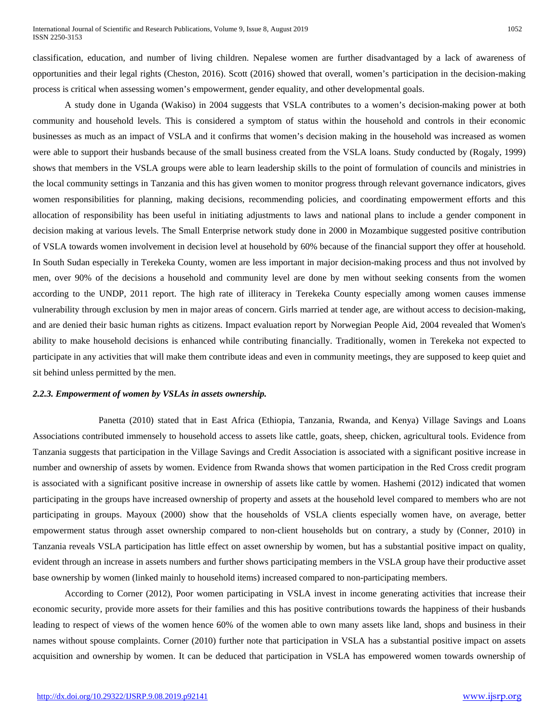classification, education, and number of living children. Nepalese women are further disadvantaged by a lack of awareness of opportunities and their legal rights (Cheston, 2016). Scott (2016) showed that overall, women's participation in the decision-making process is critical when assessing women's empowerment, gender equality, and other developmental goals.

A study done in Uganda (Wakiso) in 2004 suggests that VSLA contributes to a women's decision-making power at both community and household levels. This is considered a symptom of status within the household and controls in their economic businesses as much as an impact of VSLA and it confirms that women's decision making in the household was increased as women were able to support their husbands because of the small business created from the VSLA loans. Study conducted by (Rogaly, 1999) shows that members in the VSLA groups were able to learn leadership skills to the point of formulation of councils and ministries in the local community settings in Tanzania and this has given women to monitor progress through relevant governance indicators, gives women responsibilities for planning, making decisions, recommending policies, and coordinating empowerment efforts and this allocation of responsibility has been useful in initiating adjustments to laws and national plans to include a gender component in decision making at various levels. The Small Enterprise network study done in 2000 in Mozambique suggested positive contribution of VSLA towards women involvement in decision level at household by 60% because of the financial support they offer at household. In South Sudan especially in Terekeka County, women are less important in major decision-making process and thus not involved by men, over 90% of the decisions a household and community level are done by men without seeking consents from the women according to the UNDP, 2011 report. The high rate of illiteracy in Terekeka County especially among women causes immense vulnerability through exclusion by men in major areas of concern. Girls married at tender age, are without access to decision-making, and are denied their basic human rights as citizens. Impact evaluation report by Norwegian People Aid, 2004 revealed that Women's ability to make household decisions is enhanced while contributing financially. Traditionally, women in Terekeka not expected to participate in any activities that will make them contribute ideas and even in community meetings, they are supposed to keep quiet and sit behind unless permitted by the men.

#### *2.2.3. Empowerment of women by VSLAs in assets ownership.*

Panetta (2010) stated that in East Africa (Ethiopia, Tanzania, Rwanda, and Kenya) Village Savings and Loans Associations contributed immensely to household access to assets like cattle, goats, sheep, chicken, agricultural tools. Evidence from Tanzania suggests that participation in the Village Savings and Credit Association is associated with a significant positive increase in number and ownership of assets by women. Evidence from Rwanda shows that women participation in the Red Cross credit program is associated with a significant positive increase in ownership of assets like cattle by women. Hashemi (2012) indicated that women participating in the groups have increased ownership of property and assets at the household level compared to members who are not participating in groups. Mayoux (2000) show that the households of VSLA clients especially women have, on average, better empowerment status through asset ownership compared to non-client households but on contrary, a study by (Conner, 2010) in Tanzania reveals VSLA participation has little effect on asset ownership by women, but has a substantial positive impact on quality, evident through an increase in assets numbers and further shows participating members in the VSLA group have their productive asset base ownership by women (linked mainly to household items) increased compared to non-participating members.

According to Corner (2012), Poor women participating in VSLA invest in income generating activities that increase their economic security, provide more assets for their families and this has positive contributions towards the happiness of their husbands leading to respect of views of the women hence 60% of the women able to own many assets like land, shops and business in their names without spouse complaints. Corner (2010) further note that participation in VSLA has a substantial positive impact on assets acquisition and ownership by women. It can be deduced that participation in VSLA has empowered women towards ownership of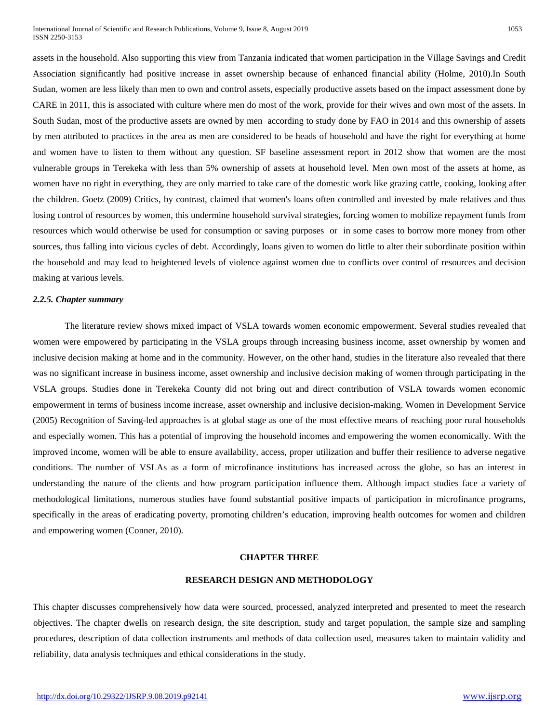assets in the household. Also supporting this view from Tanzania indicated that women participation in the Village Savings and Credit Association significantly had positive increase in asset ownership because of enhanced financial ability (Holme, 2010).In South Sudan, women are less likely than men to own and control assets, especially productive assets based on the impact assessment done by CARE in 2011, this is associated with culture where men do most of the work, provide for their wives and own most of the assets. In South Sudan, most of the productive assets are owned by men according to study done by FAO in 2014 and this ownership of assets by men attributed to practices in the area as men are considered to be heads of household and have the right for everything at home and women have to listen to them without any question. SF baseline assessment report in 2012 show that women are the most vulnerable groups in Terekeka with less than 5% ownership of assets at household level. Men own most of the assets at home, as women have no right in everything, they are only married to take care of the domestic work like grazing cattle, cooking, looking after the children. Goetz (2009) Critics, by contrast, claimed that women's loans often controlled and invested by male relatives and thus losing control of resources by women, this undermine household survival strategies, forcing women to mobilize repayment funds from resources which would otherwise be used for consumption or saving purposes or in some cases to borrow more money from other sources, thus falling into vicious cycles of debt. Accordingly, loans given to women do little to alter their subordinate position within the household and may lead to heightened levels of violence against women due to conflicts over control of resources and decision making at various levels.

# *2.2.5. Chapter summary*

The literature review shows mixed impact of VSLA towards women economic empowerment. Several studies revealed that women were empowered by participating in the VSLA groups through increasing business income, asset ownership by women and inclusive decision making at home and in the community. However, on the other hand, studies in the literature also revealed that there was no significant increase in business income, asset ownership and inclusive decision making of women through participating in the VSLA groups. Studies done in Terekeka County did not bring out and direct contribution of VSLA towards women economic empowerment in terms of business income increase, asset ownership and inclusive decision-making. Women in Development Service (2005) Recognition of Saving-led approaches is at global stage as one of the most effective means of reaching poor rural households and especially women. This has a potential of improving the household incomes and empowering the women economically. With the improved income, women will be able to ensure availability, access, proper utilization and buffer their resilience to adverse negative conditions. The number of VSLAs as a form of microfinance institutions has increased across the globe, so has an interest in understanding the nature of the clients and how program participation influence them. Although impact studies face a variety of methodological limitations, numerous studies have found substantial positive impacts of participation in microfinance programs, specifically in the areas of eradicating poverty, promoting children's education, improving health outcomes for women and children and empowering women (Conner, 2010).

#### **CHAPTER THREE**

#### **RESEARCH DESIGN AND METHODOLOGY**

This chapter discusses comprehensively how data were sourced, processed, analyzed interpreted and presented to meet the research objectives. The chapter dwells on research design, the site description, study and target population, the sample size and sampling procedures, description of data collection instruments and methods of data collection used, measures taken to maintain validity and reliability, data analysis techniques and ethical considerations in the study.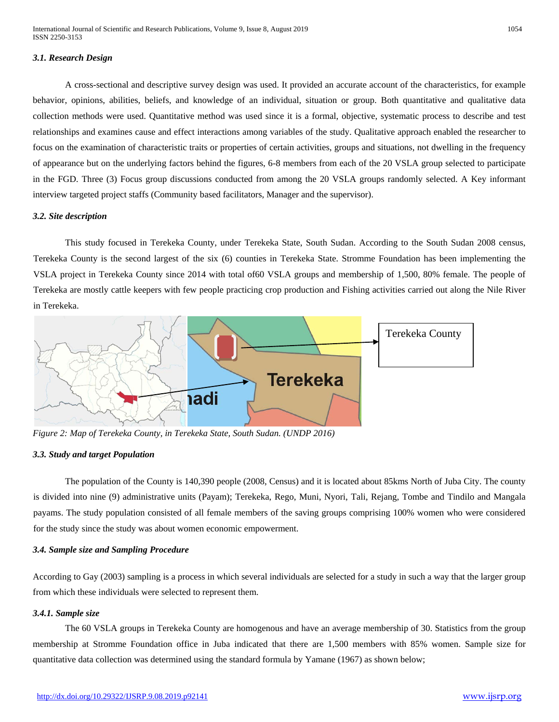# *3.1. Research Design*

A cross-sectional and descriptive survey design was used. It provided an accurate account of the characteristics, for example behavior, opinions, abilities, beliefs, and knowledge of an individual, situation or group. Both quantitative and qualitative data collection methods were used. Quantitative method was used since it is a formal, objective, systematic process to describe and test relationships and examines cause and effect interactions among variables of the study. Qualitative approach enabled the researcher to focus on the examination of characteristic traits or properties of certain activities, groups and situations, not dwelling in the frequency of appearance but on the underlying factors behind the figures, 6-8 members from each of the 20 VSLA group selected to participate in the FGD. Three (3) Focus group discussions conducted from among the 20 VSLA groups randomly selected. A Key informant interview targeted project staffs (Community based facilitators, Manager and the supervisor).

#### *3.2. Site description*

This study focused in Terekeka County, under Terekeka State, South Sudan. According to the South Sudan 2008 census, Terekeka County is the second largest of the six (6) counties in Terekeka State. Stromme Foundation has been implementing the VSLA project in Terekeka County since 2014 with total of60 VSLA groups and membership of 1,500, 80% female. The people of Terekeka are mostly cattle keepers with few people practicing crop production and Fishing activities carried out along the Nile River in Terekeka.



*Figure 2: Map of Terekeka County, in Terekeka State, South Sudan. (UNDP 2016)*

#### *3.3. Study and target Population*

The population of the County is 140,390 people (2008, Census) and it is located about 85kms North of Juba City. The county is divided into nine (9) administrative units (Payam); Terekeka, Rego, Muni, Nyori, Tali, Rejang, Tombe and Tindilo and Mangala payams. The study population consisted of all female members of the saving groups comprising 100% women who were considered for the study since the study was about women economic empowerment.

# *3.4. Sample size and Sampling Procedure*

According to Gay (2003) sampling is a process in which several individuals are selected for a study in such a way that the larger group from which these individuals were selected to represent them.

# *3.4.1. Sample size*

The 60 VSLA groups in Terekeka County are homogenous and have an average membership of 30. Statistics from the group membership at Stromme Foundation office in Juba indicated that there are 1,500 members with 85% women. Sample size for quantitative data collection was determined using the standard formula by Yamane (1967) as shown below;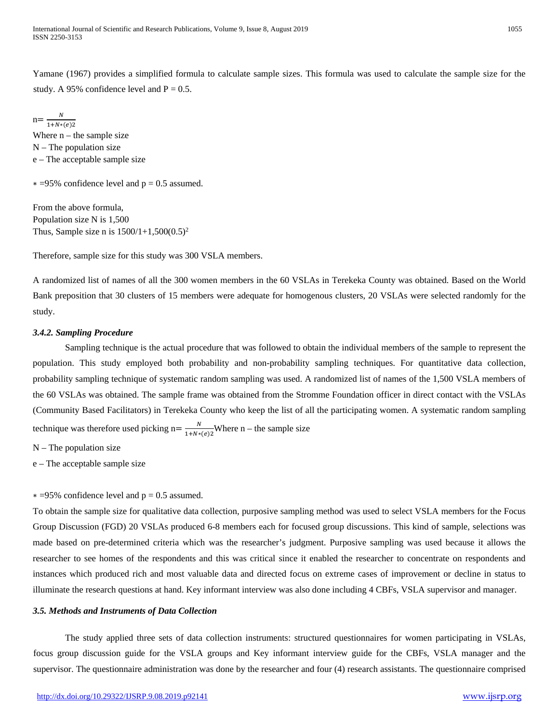Yamane (1967) provides a simplified formula to calculate sample sizes. This formula was used to calculate the sample size for the study. A 95% confidence level and  $P = 0.5$ .

 $n = \frac{N}{1 + N*(e)2}$ Where  $n -$  the sample size  $N$  – The population size e – The acceptable sample size

 $* = 95\%$  confidence level and  $p = 0.5$  assumed.

From the above formula, Population size N is 1,500 Thus, Sample size n is  $1500/1+1,500(0.5)^2$ 

Therefore, sample size for this study was 300 VSLA members.

A randomized list of names of all the 300 women members in the 60 VSLAs in Terekeka County was obtained. Based on the World Bank preposition that 30 clusters of 15 members were adequate for homogenous clusters, 20 VSLAs were selected randomly for the study.

#### *3.4.2. Sampling Procedure*

Sampling technique is the actual procedure that was followed to obtain the individual members of the sample to represent the population. This study employed both probability and non-probability sampling techniques. For quantitative data collection, probability sampling technique of systematic random sampling was used. A randomized list of names of the 1,500 VSLA members of the 60 VSLAs was obtained. The sample frame was obtained from the Stromme Foundation officer in direct contact with the VSLAs (Community Based Facilitators) in Terekeka County who keep the list of all the participating women. A systematic random sampling technique was therefore used picking  $n = \frac{N}{1 + N*(e)2}$ Where n – the sample size

 $N$  – The population size

e – The acceptable sample size

 $* = 95\%$  confidence level and  $p = 0.5$  assumed.

To obtain the sample size for qualitative data collection, purposive sampling method was used to select VSLA members for the Focus Group Discussion (FGD) 20 VSLAs produced 6-8 members each for focused group discussions. This kind of sample, selections was made based on pre-determined criteria which was the researcher's judgment. Purposive sampling was used because it allows the researcher to see homes of the respondents and this was critical since it enabled the researcher to concentrate on respondents and instances which produced rich and most valuable data and directed focus on extreme cases of improvement or decline in status to illuminate the research questions at hand. Key informant interview was also done including 4 CBFs, VSLA supervisor and manager.

# *3.5. Methods and Instruments of Data Collection*

The study applied three sets of data collection instruments: structured questionnaires for women participating in VSLAs, focus group discussion guide for the VSLA groups and Key informant interview guide for the CBFs, VSLA manager and the supervisor. The questionnaire administration was done by the researcher and four (4) research assistants. The questionnaire comprised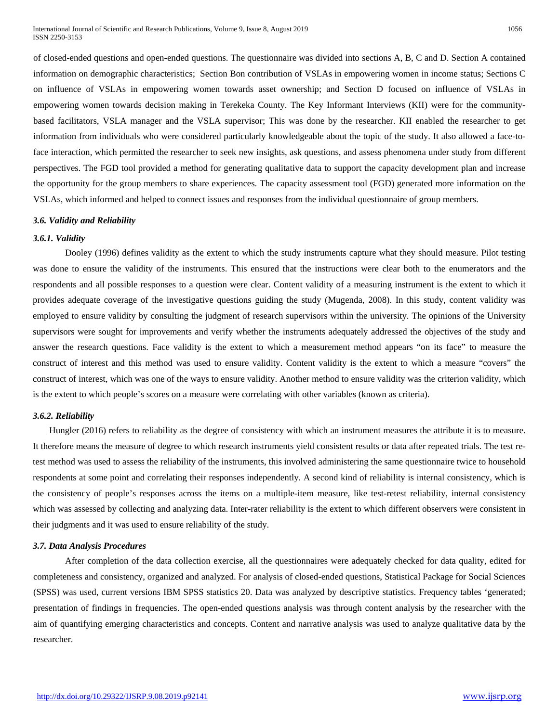of closed-ended questions and open-ended questions. The questionnaire was divided into sections A, B, C and D. Section A contained information on demographic characteristics; Section Bon contribution of VSLAs in empowering women in income status; Sections C on influence of VSLAs in empowering women towards asset ownership; and Section D focused on influence of VSLAs in empowering women towards decision making in Terekeka County. The Key Informant Interviews (KII) were for the communitybased facilitators, VSLA manager and the VSLA supervisor; This was done by the researcher. KII enabled the researcher to get information from individuals who were considered particularly knowledgeable about the topic of the study. It also allowed a face-toface interaction, which permitted the researcher to seek new insights, ask questions, and assess phenomena under study from different perspectives. The FGD tool provided a method for generating qualitative data to support the capacity development plan and increase the opportunity for the group members to share experiences. The capacity assessment tool (FGD) generated more information on the VSLAs, which informed and helped to connect issues and responses from the individual questionnaire of group members.

#### *3.6. Validity and Reliability*

#### *3.6.1. Validity*

Dooley (1996) defines validity as the extent to which the study instruments capture what they should measure. Pilot testing was done to ensure the validity of the instruments. This ensured that the instructions were clear both to the enumerators and the respondents and all possible responses to a question were clear. Content validity of a measuring instrument is the extent to which it provides adequate coverage of the investigative questions guiding the study (Mugenda, 2008). In this study, content validity was employed to ensure validity by consulting the judgment of research supervisors within the university. The opinions of the University supervisors were sought for improvements and verify whether the instruments adequately addressed the objectives of the study and answer the research questions. Face validity is the extent to which a measurement method appears "on its face" to measure the construct of interest and this method was used to ensure validity. Content validity is the extent to which a measure "covers" the construct of interest, which was one of the ways to ensure validity. Another method to ensure validity was the criterion validity, which is the extent to which people's scores on a measure were correlating with other variables (known as criteria).

#### *3.6.2. Reliability*

Hungler (2016) refers to reliability as the degree of consistency with which an instrument measures the attribute it is to measure. It therefore means the measure of degree to which research instruments yield consistent results or data after repeated trials. The test retest method was used to assess the reliability of the instruments, this involved administering the same questionnaire twice to household respondents at some point and correlating their responses independently. A second kind of reliability is internal consistency, which is the consistency of people's responses across the items on a multiple-item measure, like test-retest reliability, internal consistency which was assessed by collecting and analyzing data. Inter-rater reliability is the extent to which different observers were consistent in their judgments and it was used to ensure reliability of the study.

#### *3.7. Data Analysis Procedures*

After completion of the data collection exercise, all the questionnaires were adequately checked for data quality, edited for completeness and consistency, organized and analyzed. For analysis of closed-ended questions, Statistical Package for Social Sciences (SPSS) was used, current versions IBM SPSS statistics 20. Data was analyzed by descriptive statistics. Frequency tables 'generated; presentation of findings in frequencies. The open-ended questions analysis was through content analysis by the researcher with the aim of quantifying emerging characteristics and concepts. Content and narrative analysis was used to analyze qualitative data by the researcher.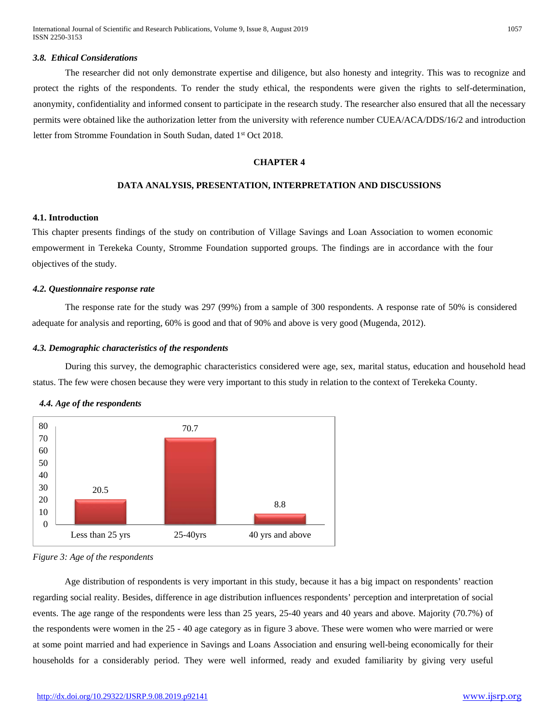International Journal of Scientific and Research Publications, Volume 9, Issue 8, August 2019 1057 ISSN 2250-3153

#### *3.8. Ethical Considerations*

The researcher did not only demonstrate expertise and diligence, but also honesty and integrity. This was to recognize and protect the rights of the respondents. To render the study ethical, the respondents were given the rights to self-determination, anonymity, confidentiality and informed consent to participate in the research study. The researcher also ensured that all the necessary permits were obtained like the authorization letter from the university with reference number CUEA/ACA/DDS/16/2 and introduction letter from Stromme Foundation in South Sudan, dated 1<sup>st</sup> Oct 2018.

## **CHAPTER 4**

#### **DATA ANALYSIS, PRESENTATION, INTERPRETATION AND DISCUSSIONS**

# **4.1. Introduction**

This chapter presents findings of the study on contribution of Village Savings and Loan Association to women economic empowerment in Terekeka County, Stromme Foundation supported groups. The findings are in accordance with the four objectives of the study.

#### *4.2. Questionnaire response rate*

The response rate for the study was 297 (99%) from a sample of 300 respondents. A response rate of 50% is considered adequate for analysis and reporting, 60% is good and that of 90% and above is very good (Mugenda, 2012).

#### *4.3. Demographic characteristics of the respondents*

During this survey, the demographic characteristics considered were age, sex, marital status, education and household head status. The few were chosen because they were very important to this study in relation to the context of Terekeka County.



#### *4.4. Age of the respondents*

*Figure 3: Age of the respondents*

Age distribution of respondents is very important in this study, because it has a big impact on respondents' reaction regarding social reality. Besides, difference in age distribution influences respondents' perception and interpretation of social events. The age range of the respondents were less than 25 years, 25-40 years and 40 years and above. Majority (70.7%) of the respondents were women in the 25 - 40 age category as in figure 3 above. These were women who were married or were at some point married and had experience in Savings and Loans Association and ensuring well-being economically for their households for a considerably period. They were well informed, ready and exuded familiarity by giving very useful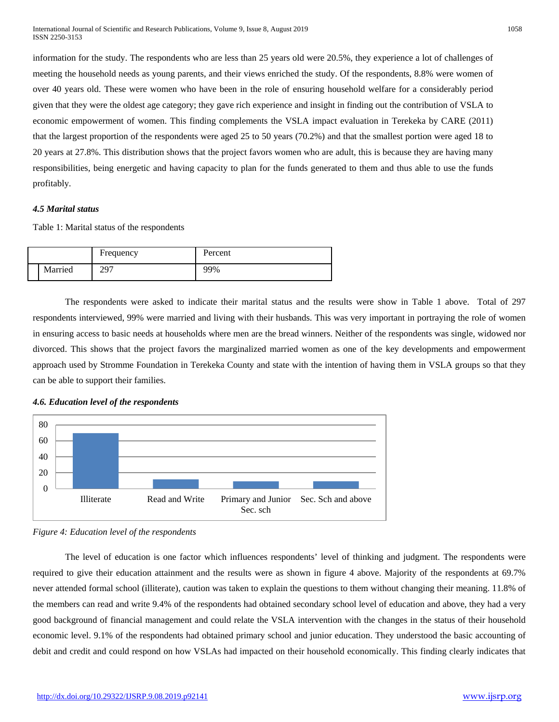information for the study. The respondents who are less than 25 years old were 20.5%, they experience a lot of challenges of meeting the household needs as young parents, and their views enriched the study. Of the respondents, 8.8% were women of over 40 years old. These were women who have been in the role of ensuring household welfare for a considerably period given that they were the oldest age category; they gave rich experience and insight in finding out the contribution of VSLA to economic empowerment of women. This finding complements the VSLA impact evaluation in Terekeka by CARE (2011) that the largest proportion of the respondents were aged 25 to 50 years (70.2%) and that the smallest portion were aged 18 to 20 years at 27.8%. This distribution shows that the project favors women who are adult, this is because they are having many responsibilities, being energetic and having capacity to plan for the funds generated to them and thus able to use the funds profitably.

### *4.5 Marital status*

Table 1: Marital status of the respondents

|         | Frequency | Percent |
|---------|-----------|---------|
| Married | 297       | 99%     |

The respondents were asked to indicate their marital status and the results were show in Table 1 above. Total of 297 respondents interviewed, 99% were married and living with their husbands. This was very important in portraying the role of women in ensuring access to basic needs at households where men are the bread winners. Neither of the respondents was single, widowed nor divorced. This shows that the project favors the marginalized married women as one of the key developments and empowerment approach used by Stromme Foundation in Terekeka County and state with the intention of having them in VSLA groups so that they can be able to support their families.

# *4.6. Education level of the respondents*



*Figure 4: Education level of the respondents*

The level of education is one factor which influences respondents' level of thinking and judgment. The respondents were required to give their education attainment and the results were as shown in figure 4 above. Majority of the respondents at 69.7% never attended formal school (illiterate), caution was taken to explain the questions to them without changing their meaning. 11.8% of the members can read and write 9.4% of the respondents had obtained secondary school level of education and above, they had a very good background of financial management and could relate the VSLA intervention with the changes in the status of their household economic level. 9.1% of the respondents had obtained primary school and junior education. They understood the basic accounting of debit and credit and could respond on how VSLAs had impacted on their household economically. This finding clearly indicates that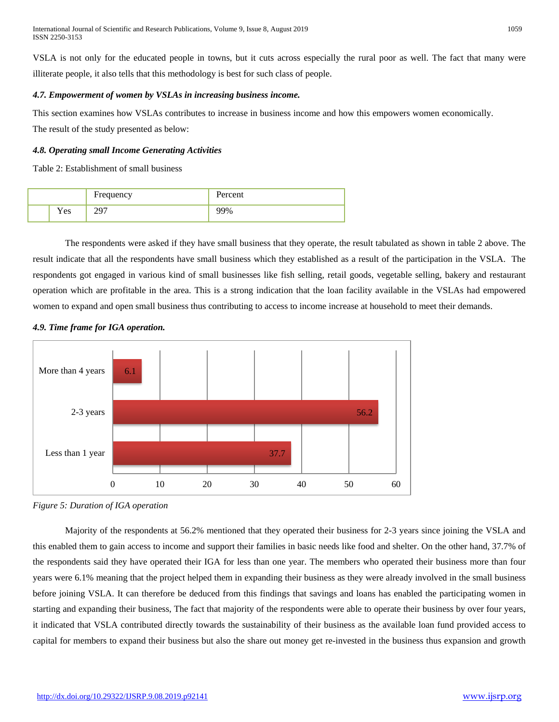VSLA is not only for the educated people in towns, but it cuts across especially the rural poor as well. The fact that many were illiterate people, it also tells that this methodology is best for such class of people.

# *4.7. Empowerment of women by VSLAs in increasing business income.*

This section examines how VSLAs contributes to increase in business income and how this empowers women economically.

The result of the study presented as below:

# *4.8. Operating small Income Generating Activities*

Table 2: Establishment of small business

|      | Frequency | Percent |
|------|-----------|---------|
| Y es |           | YΩ      |

The respondents were asked if they have small business that they operate, the result tabulated as shown in table 2 above. The result indicate that all the respondents have small business which they established as a result of the participation in the VSLA. The respondents got engaged in various kind of small businesses like fish selling, retail goods, vegetable selling, bakery and restaurant operation which are profitable in the area. This is a strong indication that the loan facility available in the VSLAs had empowered women to expand and open small business thus contributing to access to income increase at household to meet their demands.



# *4.9. Time frame for IGA operation.*

Majority of the respondents at 56.2% mentioned that they operated their business for 2-3 years since joining the VSLA and this enabled them to gain access to income and support their families in basic needs like food and shelter. On the other hand, 37.7% of the respondents said they have operated their IGA for less than one year. The members who operated their business more than four years were 6.1% meaning that the project helped them in expanding their business as they were already involved in the small business before joining VSLA. It can therefore be deduced from this findings that savings and loans has enabled the participating women in starting and expanding their business, The fact that majority of the respondents were able to operate their business by over four years, it indicated that VSLA contributed directly towards the sustainability of their business as the available loan fund provided access to capital for members to expand their business but also the share out money get re-invested in the business thus expansion and growth

*Figure 5: Duration of IGA operation*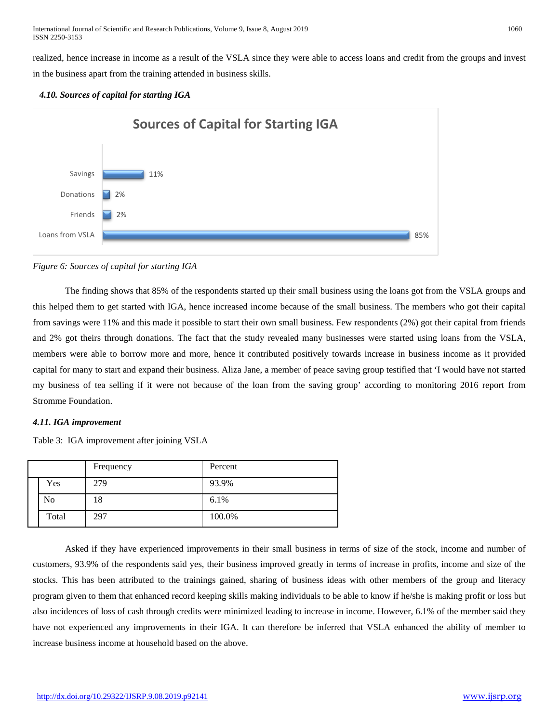realized, hence increase in income as a result of the VSLA since they were able to access loans and credit from the groups and invest in the business apart from the training attended in business skills.

# *4.10. Sources of capital for starting IGA*



*Figure 6: Sources of capital for starting IGA*

The finding shows that 85% of the respondents started up their small business using the loans got from the VSLA groups and this helped them to get started with IGA, hence increased income because of the small business. The members who got their capital from savings were 11% and this made it possible to start their own small business. Few respondents (2%) got their capital from friends and 2% got theirs through donations. The fact that the study revealed many businesses were started using loans from the VSLA, members were able to borrow more and more, hence it contributed positively towards increase in business income as it provided capital for many to start and expand their business. Aliza Jane, a member of peace saving group testified that 'I would have not started my business of tea selling if it were not because of the loan from the saving group' according to monitoring 2016 report from Stromme Foundation.

# *4.11. IGA improvement*

Table 3: IGA improvement after joining VSLA

|       | Frequency | Percent |
|-------|-----------|---------|
| Yes   | 279       | 93.9%   |
| No    | 18        | 6.1%    |
| Total | 297       | 100.0%  |

Asked if they have experienced improvements in their small business in terms of size of the stock, income and number of customers, 93.9% of the respondents said yes, their business improved greatly in terms of increase in profits, income and size of the stocks. This has been attributed to the trainings gained, sharing of business ideas with other members of the group and literacy program given to them that enhanced record keeping skills making individuals to be able to know if he/she is making profit or loss but also incidences of loss of cash through credits were minimized leading to increase in income. However, 6.1% of the member said they have not experienced any improvements in their IGA. It can therefore be inferred that VSLA enhanced the ability of member to increase business income at household based on the above.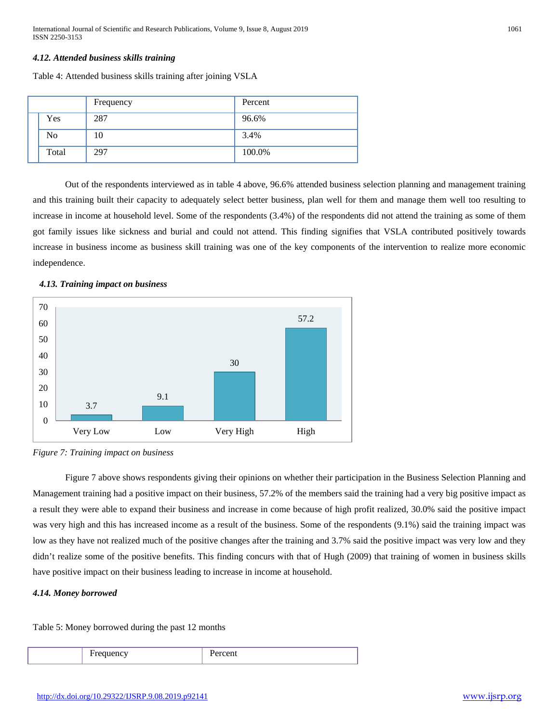# *4.12. Attended business skills training*

Table 4: Attended business skills training after joining VSLA

|                | Frequency | Percent |
|----------------|-----------|---------|
| Yes            | 287       | 96.6%   |
| N <sub>0</sub> | 10        | 3.4%    |
| Total          | 297       | 100.0%  |

Out of the respondents interviewed as in table 4 above, 96.6% attended business selection planning and management training and this training built their capacity to adequately select better business, plan well for them and manage them well too resulting to increase in income at household level. Some of the respondents (3.4%) of the respondents did not attend the training as some of them got family issues like sickness and burial and could not attend. This finding signifies that VSLA contributed positively towards increase in business income as business skill training was one of the key components of the intervention to realize more economic independence.

# *4.13. Training impact on business*



*Figure 7: Training impact on business*

Figure 7 above shows respondents giving their opinions on whether their participation in the Business Selection Planning and Management training had a positive impact on their business, 57.2% of the members said the training had a very big positive impact as a result they were able to expand their business and increase in come because of high profit realized, 30.0% said the positive impact was very high and this has increased income as a result of the business. Some of the respondents (9.1%) said the training impact was low as they have not realized much of the positive changes after the training and 3.7% said the positive impact was very low and they didn't realize some of the positive benefits. This finding concurs with that of Hugh (2009) that training of women in business skills have positive impact on their business leading to increase in income at household.

# *4.14. Money borrowed*

Table 5: Money borrowed during the past 12 months

Frequency Percent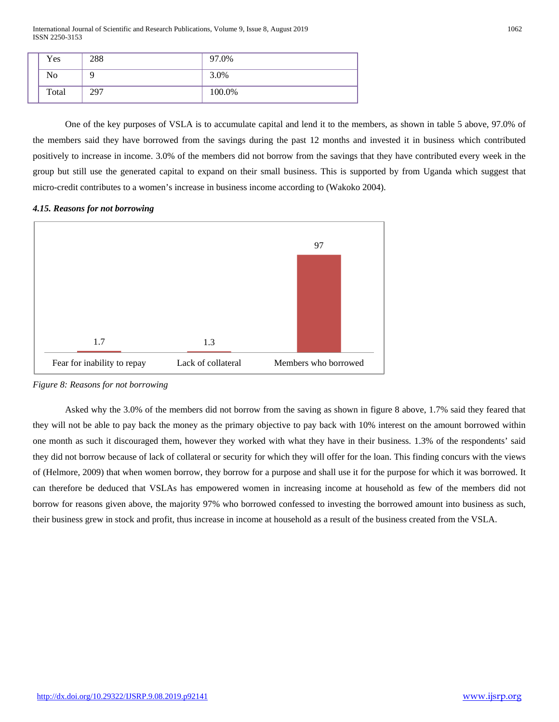International Journal of Scientific and Research Publications, Volume 9, Issue 8, August 2019 1062 ISSN 2250-3153

| Yes            | 288 | 97.0%  |
|----------------|-----|--------|
| N <sub>0</sub> |     | 3.0%   |
| Total          | 297 | 100.0% |

One of the key purposes of VSLA is to accumulate capital and lend it to the members, as shown in table 5 above, 97.0% of the members said they have borrowed from the savings during the past 12 months and invested it in business which contributed positively to increase in income. 3.0% of the members did not borrow from the savings that they have contributed every week in the group but still use the generated capital to expand on their small business. This is supported by from Uganda which suggest that micro-credit contributes to a women's increase in business income according to (Wakoko 2004).

# *4.15. Reasons for not borrowing*



*Figure 8: Reasons for not borrowing*

Asked why the 3.0% of the members did not borrow from the saving as shown in figure 8 above, 1.7% said they feared that they will not be able to pay back the money as the primary objective to pay back with 10% interest on the amount borrowed within one month as such it discouraged them, however they worked with what they have in their business. 1.3% of the respondents' said they did not borrow because of lack of collateral or security for which they will offer for the loan. This finding concurs with the views of (Helmore, 2009) that when women borrow, they borrow for a purpose and shall use it for the purpose for which it was borrowed. It can therefore be deduced that VSLAs has empowered women in increasing income at household as few of the members did not borrow for reasons given above, the majority 97% who borrowed confessed to investing the borrowed amount into business as such, their business grew in stock and profit, thus increase in income at household as a result of the business created from the VSLA.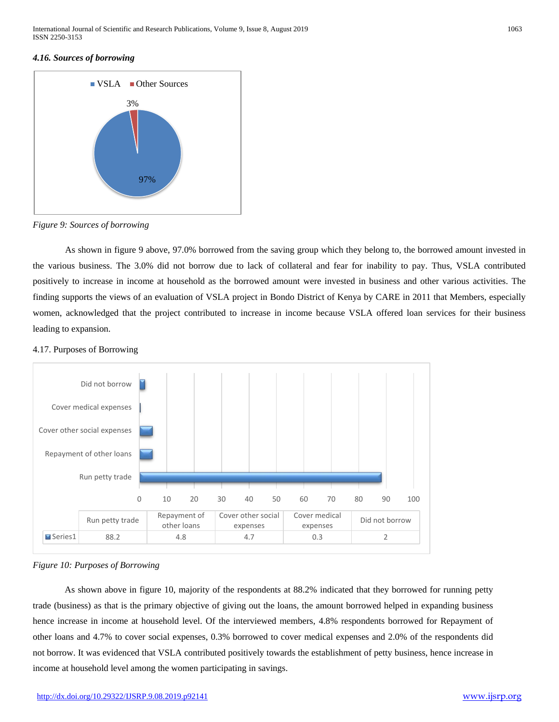# *4.16. Sources of borrowing*



*Figure 9: Sources of borrowing*

As shown in figure 9 above, 97.0% borrowed from the saving group which they belong to, the borrowed amount invested in the various business. The 3.0% did not borrow due to lack of collateral and fear for inability to pay. Thus, VSLA contributed positively to increase in income at household as the borrowed amount were invested in business and other various activities. The finding supports the views of an evaluation of VSLA project in Bondo District of Kenya by CARE in 2011 that Members, especially women, acknowledged that the project contributed to increase in income because VSLA offered loan services for their business leading to expansion.

# 4.17. Purposes of Borrowing





As shown above in figure 10, majority of the respondents at 88.2% indicated that they borrowed for running petty trade (business) as that is the primary objective of giving out the loans, the amount borrowed helped in expanding business hence increase in income at household level. Of the interviewed members, 4.8% respondents borrowed for Repayment of other loans and 4.7% to cover social expenses, 0.3% borrowed to cover medical expenses and 2.0% of the respondents did not borrow. It was evidenced that VSLA contributed positively towards the establishment of petty business, hence increase in income at household level among the women participating in savings.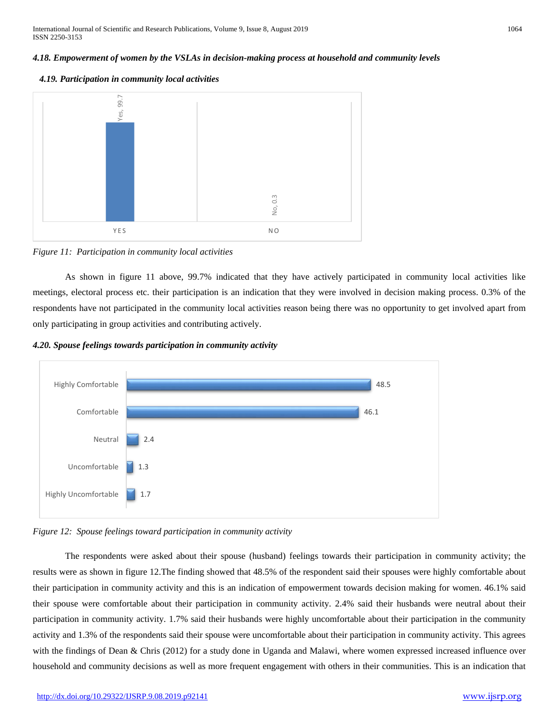# *4.18. Empowerment of women by the VSLAs in decision-making process at household and community levels*





# *Figure 11: Participation in community local activities*

As shown in figure 11 above, 99.7% indicated that they have actively participated in community local activities like meetings, electoral process etc. their participation is an indication that they were involved in decision making process. 0.3% of the respondents have not participated in the community local activities reason being there was no opportunity to get involved apart from only participating in group activities and contributing actively.

# *4.20. Spouse feelings towards participation in community activity*



*Figure 12: Spouse feelings toward participation in community activity*

The respondents were asked about their spouse (husband) feelings towards their participation in community activity; the results were as shown in figure 12.The finding showed that 48.5% of the respondent said their spouses were highly comfortable about their participation in community activity and this is an indication of empowerment towards decision making for women. 46.1% said their spouse were comfortable about their participation in community activity. 2.4% said their husbands were neutral about their participation in community activity. 1.7% said their husbands were highly uncomfortable about their participation in the community activity and 1.3% of the respondents said their spouse were uncomfortable about their participation in community activity. This agrees with the findings of Dean & Chris (2012) for a study done in Uganda and Malawi, where women expressed increased influence over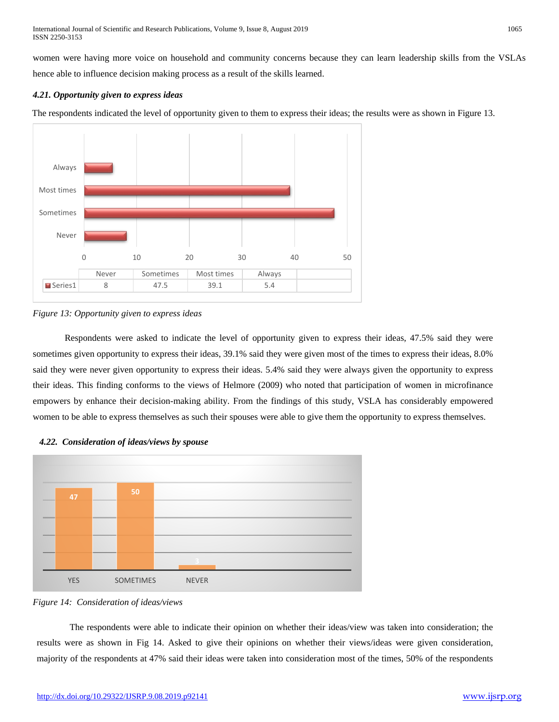women were having more voice on household and community concerns because they can learn leadership skills from the VSLAs hence able to influence decision making process as a result of the skills learned.

# *4.21. Opportunity given to express ideas*

The respondents indicated the level of opportunity given to them to express their ideas; the results were as shown in Figure 13.



# *Figure 13: Opportunity given to express ideas*

Respondents were asked to indicate the level of opportunity given to express their ideas, 47.5% said they were sometimes given opportunity to express their ideas, 39.1% said they were given most of the times to express their ideas, 8.0% said they were never given opportunity to express their ideas. 5.4% said they were always given the opportunity to express their ideas. This finding conforms to the views of Helmore (2009) who noted that participation of women in microfinance empowers by enhance their decision-making ability. From the findings of this study, VSLA has considerably empowered women to be able to express themselves as such their spouses were able to give them the opportunity to express themselves.



# *4.22. Consideration of ideas/views by spouse*

The respondents were able to indicate their opinion on whether their ideas/view was taken into consideration; the results were as shown in Fig 14. Asked to give their opinions on whether their views/ideas were given consideration, majority of the respondents at 47% said their ideas were taken into consideration most of the times, 50% of the respondents

*Figure 14: Consideration of ideas/views*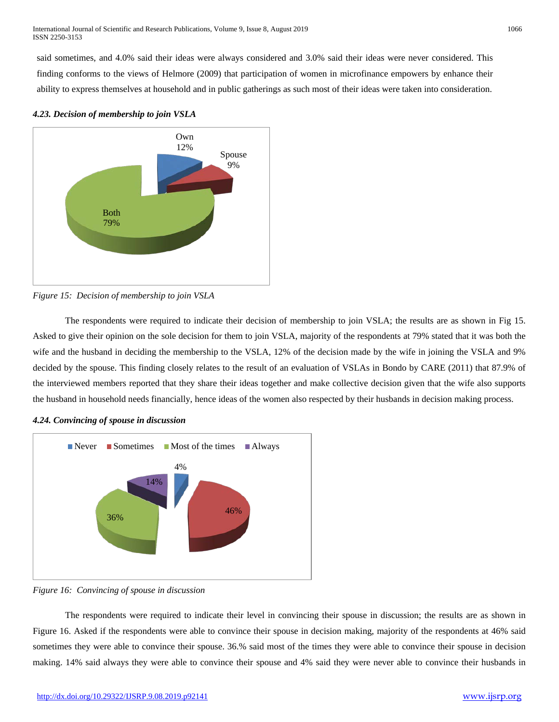said sometimes, and 4.0% said their ideas were always considered and 3.0% said their ideas were never considered. This finding conforms to the views of Helmore (2009) that participation of women in microfinance empowers by enhance their ability to express themselves at household and in public gatherings as such most of their ideas were taken into consideration.



*4.23. Decision of membership to join VSLA*



The respondents were required to indicate their decision of membership to join VSLA; the results are as shown in Fig 15. Asked to give their opinion on the sole decision for them to join VSLA, majority of the respondents at 79% stated that it was both the wife and the husband in deciding the membership to the VSLA, 12% of the decision made by the wife in joining the VSLA and 9% decided by the spouse. This finding closely relates to the result of an evaluation of VSLAs in Bondo by CARE (2011) that 87.9% of the interviewed members reported that they share their ideas together and make collective decision given that the wife also supports the husband in household needs financially, hence ideas of the women also respected by their husbands in decision making process.



# *4.24. Convincing of spouse in discussion*

*Figure 16: Convincing of spouse in discussion*

The respondents were required to indicate their level in convincing their spouse in discussion; the results are as shown in Figure 16. Asked if the respondents were able to convince their spouse in decision making, majority of the respondents at 46% said sometimes they were able to convince their spouse. 36.% said most of the times they were able to convince their spouse in decision making. 14% said always they were able to convince their spouse and 4% said they were never able to convince their husbands in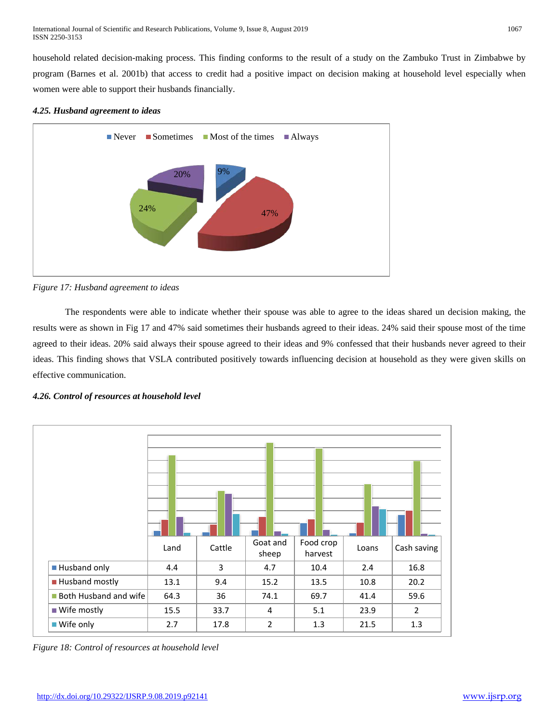household related decision-making process. This finding conforms to the result of a study on the Zambuko Trust in Zimbabwe by program (Barnes et al. 2001b) that access to credit had a positive impact on decision making at household level especially when women were able to support their husbands financially.

# *4.25. Husband agreement to ideas*



*Figure 17: Husband agreement to ideas*

The respondents were able to indicate whether their spouse was able to agree to the ideas shared un decision making, the results were as shown in Fig 17 and 47% said sometimes their husbands agreed to their ideas. 24% said their spouse most of the time agreed to their ideas. 20% said always their spouse agreed to their ideas and 9% confessed that their husbands never agreed to their ideas. This finding shows that VSLA contributed positively towards influencing decision at household as they were given skills on effective communication.

# *4.26. Control of resources at household level*



*Figure 18: Control of resources at household level*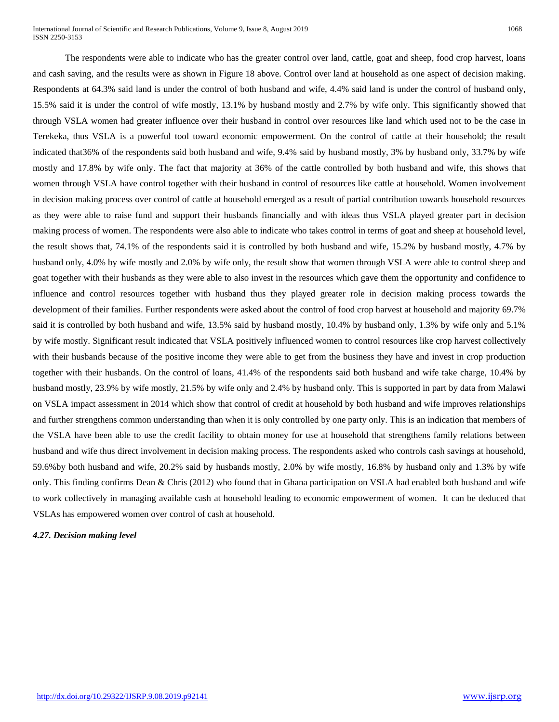International Journal of Scientific and Research Publications, Volume 9, Issue 8, August 2019 1068 ISSN 2250-3153

The respondents were able to indicate who has the greater control over land, cattle, goat and sheep, food crop harvest, loans and cash saving, and the results were as shown in Figure 18 above. Control over land at household as one aspect of decision making. Respondents at 64.3% said land is under the control of both husband and wife, 4.4% said land is under the control of husband only, 15.5% said it is under the control of wife mostly, 13.1% by husband mostly and 2.7% by wife only. This significantly showed that through VSLA women had greater influence over their husband in control over resources like land which used not to be the case in Terekeka, thus VSLA is a powerful tool toward economic empowerment. On the control of cattle at their household; the result indicated that36% of the respondents said both husband and wife, 9.4% said by husband mostly, 3% by husband only, 33.7% by wife mostly and 17.8% by wife only. The fact that majority at 36% of the cattle controlled by both husband and wife, this shows that women through VSLA have control together with their husband in control of resources like cattle at household. Women involvement in decision making process over control of cattle at household emerged as a result of partial contribution towards household resources as they were able to raise fund and support their husbands financially and with ideas thus VSLA played greater part in decision making process of women. The respondents were also able to indicate who takes control in terms of goat and sheep at household level, the result shows that, 74.1% of the respondents said it is controlled by both husband and wife, 15.2% by husband mostly, 4.7% by husband only, 4.0% by wife mostly and 2.0% by wife only, the result show that women through VSLA were able to control sheep and goat together with their husbands as they were able to also invest in the resources which gave them the opportunity and confidence to influence and control resources together with husband thus they played greater role in decision making process towards the development of their families. Further respondents were asked about the control of food crop harvest at household and majority 69.7% said it is controlled by both husband and wife, 13.5% said by husband mostly, 10.4% by husband only, 1.3% by wife only and 5.1% by wife mostly. Significant result indicated that VSLA positively influenced women to control resources like crop harvest collectively with their husbands because of the positive income they were able to get from the business they have and invest in crop production together with their husbands. On the control of loans, 41.4% of the respondents said both husband and wife take charge, 10.4% by husband mostly, 23.9% by wife mostly, 21.5% by wife only and 2.4% by husband only. This is supported in part by data from Malawi on VSLA impact assessment in 2014 which show that control of credit at household by both husband and wife improves relationships and further strengthens common understanding than when it is only controlled by one party only. This is an indication that members of the VSLA have been able to use the credit facility to obtain money for use at household that strengthens family relations between husband and wife thus direct involvement in decision making process. The respondents asked who controls cash savings at household, 59.6%by both husband and wife, 20.2% said by husbands mostly, 2.0% by wife mostly, 16.8% by husband only and 1.3% by wife only. This finding confirms Dean & Chris (2012) who found that in Ghana participation on VSLA had enabled both husband and wife to work collectively in managing available cash at household leading to economic empowerment of women. It can be deduced that VSLAs has empowered women over control of cash at household.

*4.27. Decision making level*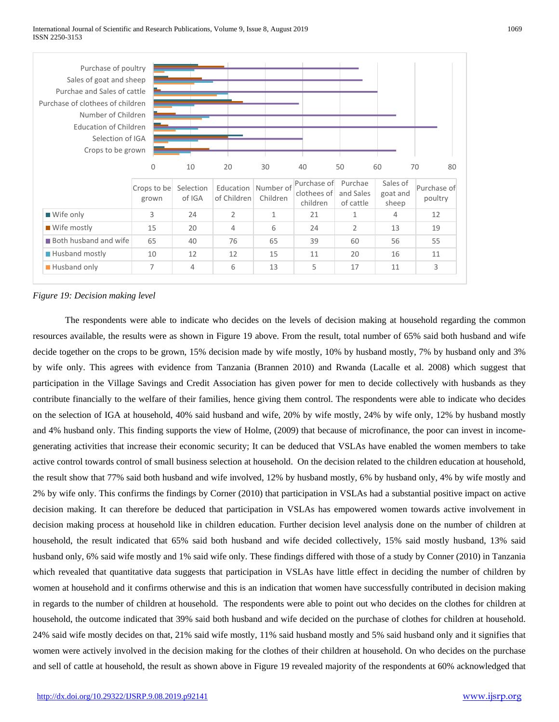

# *Figure 19: Decision making level*

The respondents were able to indicate who decides on the levels of decision making at household regarding the common resources available, the results were as shown in Figure 19 above. From the result, total number of 65% said both husband and wife decide together on the crops to be grown, 15% decision made by wife mostly, 10% by husband mostly, 7% by husband only and 3% by wife only. This agrees with evidence from Tanzania (Brannen 2010) and Rwanda (Lacalle et al. 2008) which suggest that participation in the Village Savings and Credit Association has given power for men to decide collectively with husbands as they contribute financially to the welfare of their families, hence giving them control. The respondents were able to indicate who decides on the selection of IGA at household, 40% said husband and wife, 20% by wife mostly, 24% by wife only, 12% by husband mostly and 4% husband only. This finding supports the view of Holme, (2009) that because of microfinance, the poor can invest in incomegenerating activities that increase their economic security; It can be deduced that VSLAs have enabled the women members to take active control towards control of small business selection at household. On the decision related to the children education at household, the result show that 77% said both husband and wife involved, 12% by husband mostly, 6% by husband only, 4% by wife mostly and 2% by wife only. This confirms the findings by Corner (2010) that participation in VSLAs had a substantial positive impact on active decision making. It can therefore be deduced that participation in VSLAs has empowered women towards active involvement in decision making process at household like in children education. Further decision level analysis done on the number of children at household, the result indicated that 65% said both husband and wife decided collectively, 15% said mostly husband, 13% said husband only, 6% said wife mostly and 1% said wife only. These findings differed with those of a study by Conner (2010) in Tanzania which revealed that quantitative data suggests that participation in VSLAs have little effect in deciding the number of children by women at household and it confirms otherwise and this is an indication that women have successfully contributed in decision making in regards to the number of children at household. The respondents were able to point out who decides on the clothes for children at household, the outcome indicated that 39% said both husband and wife decided on the purchase of clothes for children at household. 24% said wife mostly decides on that, 21% said wife mostly, 11% said husband mostly and 5% said husband only and it signifies that women were actively involved in the decision making for the clothes of their children at household. On who decides on the purchase and sell of cattle at household, the result as shown above in Figure 19 revealed majority of the respondents at 60% acknowledged that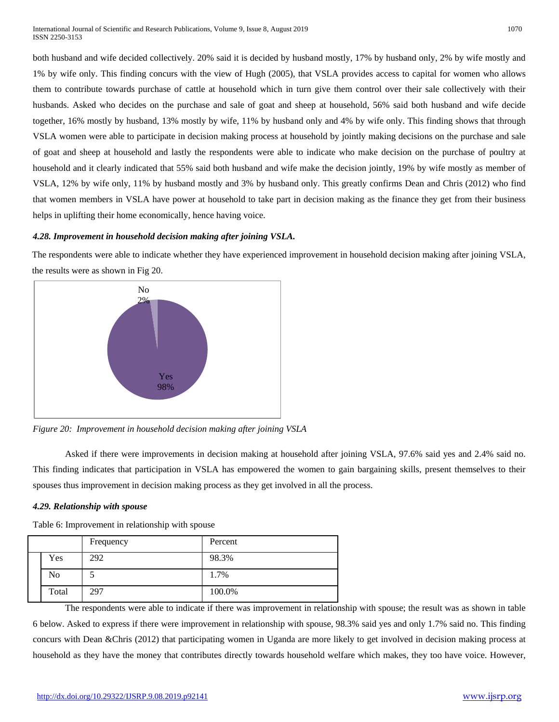both husband and wife decided collectively. 20% said it is decided by husband mostly, 17% by husband only, 2% by wife mostly and 1% by wife only. This finding concurs with the view of Hugh (2005), that VSLA provides access to capital for women who allows them to contribute towards purchase of cattle at household which in turn give them control over their sale collectively with their husbands. Asked who decides on the purchase and sale of goat and sheep at household, 56% said both husband and wife decide together, 16% mostly by husband, 13% mostly by wife, 11% by husband only and 4% by wife only. This finding shows that through VSLA women were able to participate in decision making process at household by jointly making decisions on the purchase and sale of goat and sheep at household and lastly the respondents were able to indicate who make decision on the purchase of poultry at household and it clearly indicated that 55% said both husband and wife make the decision jointly, 19% by wife mostly as member of VSLA, 12% by wife only, 11% by husband mostly and 3% by husband only. This greatly confirms Dean and Chris (2012) who find that women members in VSLA have power at household to take part in decision making as the finance they get from their business helps in uplifting their home economically, hence having voice.

# *4.28. Improvement in household decision making after joining VSLA.*

The respondents were able to indicate whether they have experienced improvement in household decision making after joining VSLA, the results were as shown in Fig 20.



*Figure 20: Improvement in household decision making after joining VSLA*

Asked if there were improvements in decision making at household after joining VSLA, 97.6% said yes and 2.4% said no. This finding indicates that participation in VSLA has empowered the women to gain bargaining skills, present themselves to their spouses thus improvement in decision making process as they get involved in all the process.

# *4.29. Relationship with spouse*

Table 6: Improvement in relationship with spouse

|       | Frequency | Percent |
|-------|-----------|---------|
| Yes   | 292       | 98.3%   |
| No    |           | 1.7%    |
| Total | 297       | 100.0%  |

The respondents were able to indicate if there was improvement in relationship with spouse; the result was as shown in table 6 below. Asked to express if there were improvement in relationship with spouse, 98.3% said yes and only 1.7% said no. This finding concurs with Dean &Chris (2012) that participating women in Uganda are more likely to get involved in decision making process at household as they have the money that contributes directly towards household welfare which makes, they too have voice. However,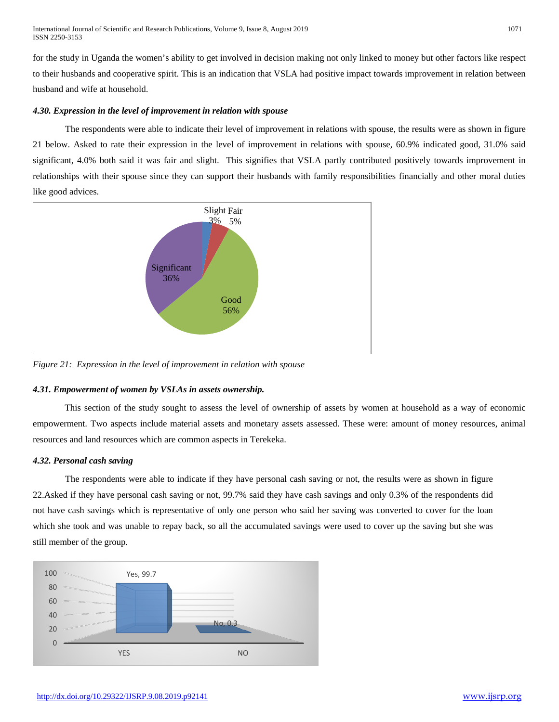for the study in Uganda the women's ability to get involved in decision making not only linked to money but other factors like respect to their husbands and cooperative spirit. This is an indication that VSLA had positive impact towards improvement in relation between husband and wife at household.

# *4.30. Expression in the level of improvement in relation with spouse*

The respondents were able to indicate their level of improvement in relations with spouse, the results were as shown in figure 21 below. Asked to rate their expression in the level of improvement in relations with spouse, 60.9% indicated good, 31.0% said significant, 4.0% both said it was fair and slight. This signifies that VSLA partly contributed positively towards improvement in relationships with their spouse since they can support their husbands with family responsibilities financially and other moral duties like good advices.



*Figure 21: Expression in the level of improvement in relation with spouse*

# *4.31. Empowerment of women by VSLAs in assets ownership.*

This section of the study sought to assess the level of ownership of assets by women at household as a way of economic empowerment. Two aspects include material assets and monetary assets assessed. These were: amount of money resources, animal resources and land resources which are common aspects in Terekeka.

# *4.32. Personal cash saving*

The respondents were able to indicate if they have personal cash saving or not, the results were as shown in figure 22.Asked if they have personal cash saving or not, 99.7% said they have cash savings and only 0.3% of the respondents did not have cash savings which is representative of only one person who said her saving was converted to cover for the loan which she took and was unable to repay back, so all the accumulated savings were used to cover up the saving but she was still member of the group.

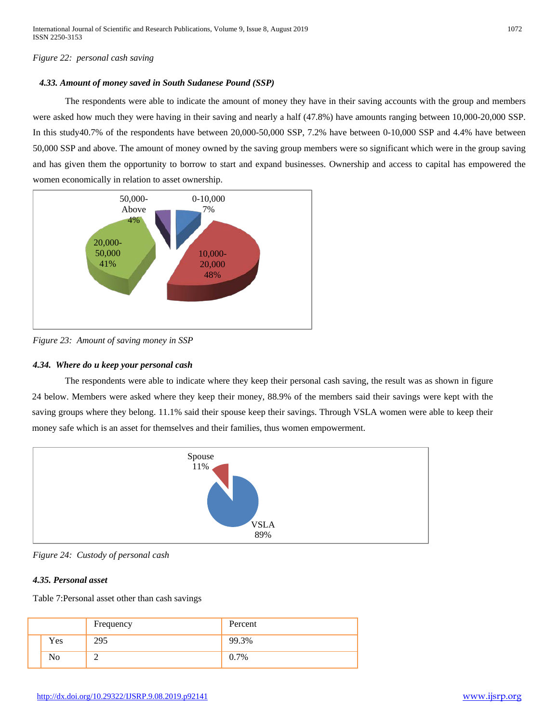# *Figure 22: personal cash saving*

# *4.33. Amount of money saved in South Sudanese Pound (SSP)*

The respondents were able to indicate the amount of money they have in their saving accounts with the group and members were asked how much they were having in their saving and nearly a half (47.8%) have amounts ranging between 10,000-20,000 SSP. In this study40.7% of the respondents have between 20,000-50,000 SSP, 7.2% have between 0-10,000 SSP and 4.4% have between 50,000 SSP and above. The amount of money owned by the saving group members were so significant which were in the group saving and has given them the opportunity to borrow to start and expand businesses. Ownership and access to capital has empowered the women economically in relation to asset ownership.



*Figure 23: Amount of saving money in SSP*

# *4.34. Where do u keep your personal cash*

The respondents were able to indicate where they keep their personal cash saving, the result was as shown in figure 24 below. Members were asked where they keep their money, 88.9% of the members said their savings were kept with the saving groups where they belong. 11.1% said their spouse keep their savings. Through VSLA women were able to keep their money safe which is an asset for themselves and their families, thus women empowerment.



*Figure 24: Custody of personal cash*

# *4.35. Personal asset*

Table 7:Personal asset other than cash savings

|     | Frequency | Percent |
|-----|-----------|---------|
| Yes | 295       | 99.3%   |
| No  |           | 0.7%    |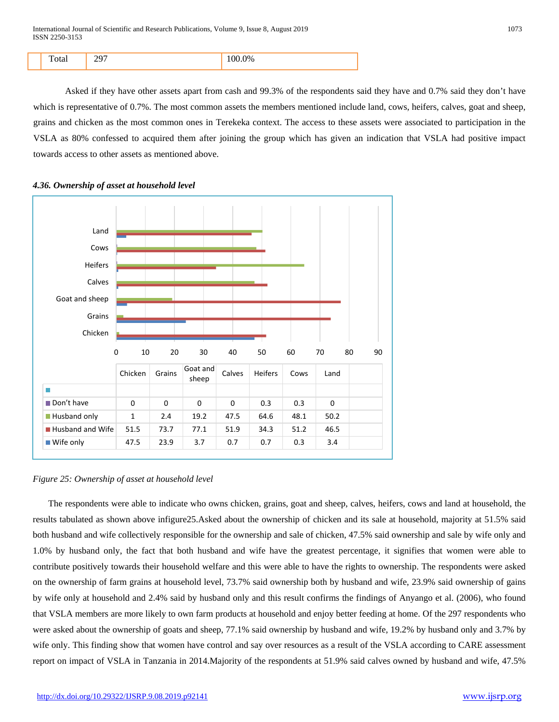| ١O |  |
|----|--|
|----|--|

Asked if they have other assets apart from cash and 99.3% of the respondents said they have and 0.7% said they don't have which is representative of 0.7%. The most common assets the members mentioned include land, cows, heifers, calves, goat and sheep, grains and chicken as the most common ones in Terekeka context. The access to these assets were associated to participation in the VSLA as 80% confessed to acquired them after joining the group which has given an indication that VSLA had positive impact towards access to other assets as mentioned above.





# *Figure 25: Ownership of asset at household level*

The respondents were able to indicate who owns chicken, grains, goat and sheep, calves, heifers, cows and land at household, the results tabulated as shown above infigure25.Asked about the ownership of chicken and its sale at household, majority at 51.5% said both husband and wife collectively responsible for the ownership and sale of chicken, 47.5% said ownership and sale by wife only and 1.0% by husband only, the fact that both husband and wife have the greatest percentage, it signifies that women were able to contribute positively towards their household welfare and this were able to have the rights to ownership. The respondents were asked on the ownership of farm grains at household level, 73.7% said ownership both by husband and wife, 23.9% said ownership of gains by wife only at household and 2.4% said by husband only and this result confirms the findings of Anyango et al. (2006), who found that VSLA members are more likely to own farm products at household and enjoy better feeding at home. Of the 297 respondents who were asked about the ownership of goats and sheep, 77.1% said ownership by husband and wife, 19.2% by husband only and 3.7% by wife only. This finding show that women have control and say over resources as a result of the VSLA according to CARE assessment report on impact of VSLA in Tanzania in 2014.Majority of the respondents at 51.9% said calves owned by husband and wife, 47.5%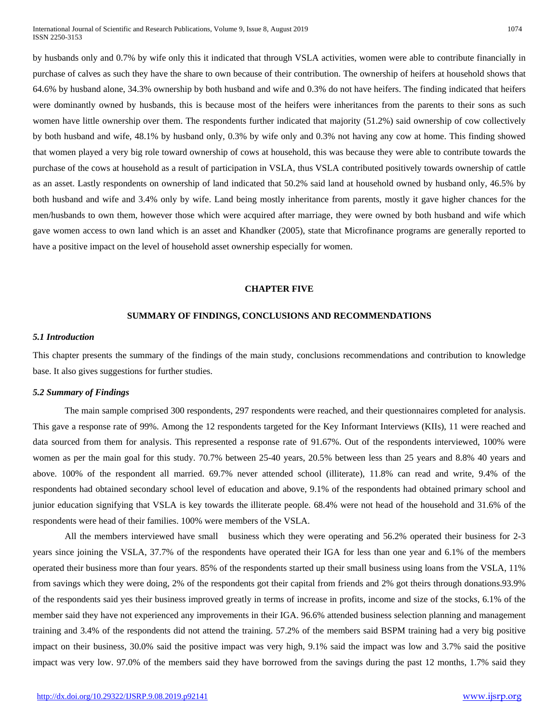by husbands only and 0.7% by wife only this it indicated that through VSLA activities, women were able to contribute financially in purchase of calves as such they have the share to own because of their contribution. The ownership of heifers at household shows that 64.6% by husband alone, 34.3% ownership by both husband and wife and 0.3% do not have heifers. The finding indicated that heifers were dominantly owned by husbands, this is because most of the heifers were inheritances from the parents to their sons as such women have little ownership over them. The respondents further indicated that majority (51.2%) said ownership of cow collectively by both husband and wife, 48.1% by husband only, 0.3% by wife only and 0.3% not having any cow at home. This finding showed that women played a very big role toward ownership of cows at household, this was because they were able to contribute towards the purchase of the cows at household as a result of participation in VSLA, thus VSLA contributed positively towards ownership of cattle as an asset. Lastly respondents on ownership of land indicated that 50.2% said land at household owned by husband only, 46.5% by both husband and wife and 3.4% only by wife. Land being mostly inheritance from parents, mostly it gave higher chances for the men/husbands to own them, however those which were acquired after marriage, they were owned by both husband and wife which gave women access to own land which is an asset and Khandker (2005), state that Microfinance programs are generally reported to have a positive impact on the level of household asset ownership especially for women.

## **CHAPTER FIVE**

# **SUMMARY OF FINDINGS, CONCLUSIONS AND RECOMMENDATIONS**

#### *5.1 Introduction*

This chapter presents the summary of the findings of the main study, conclusions recommendations and contribution to knowledge base. It also gives suggestions for further studies.

#### *5.2 Summary of Findings*

The main sample comprised 300 respondents, 297 respondents were reached, and their questionnaires completed for analysis. This gave a response rate of 99%. Among the 12 respondents targeted for the Key Informant Interviews (KIIs), 11 were reached and data sourced from them for analysis. This represented a response rate of 91.67%. Out of the respondents interviewed, 100% were women as per the main goal for this study. 70.7% between 25-40 years, 20.5% between less than 25 years and 8.8% 40 years and above. 100% of the respondent all married. 69.7% never attended school (illiterate), 11.8% can read and write, 9.4% of the respondents had obtained secondary school level of education and above, 9.1% of the respondents had obtained primary school and junior education signifying that VSLA is key towards the illiterate people. 68.4% were not head of the household and 31.6% of the respondents were head of their families. 100% were members of the VSLA.

All the members interviewed have small business which they were operating and 56.2% operated their business for 2-3 years since joining the VSLA, 37.7% of the respondents have operated their IGA for less than one year and 6.1% of the members operated their business more than four years. 85% of the respondents started up their small business using loans from the VSLA, 11% from savings which they were doing, 2% of the respondents got their capital from friends and 2% got theirs through donations.93.9% of the respondents said yes their business improved greatly in terms of increase in profits, income and size of the stocks, 6.1% of the member said they have not experienced any improvements in their IGA. 96.6% attended business selection planning and management training and 3.4% of the respondents did not attend the training. 57.2% of the members said BSPM training had a very big positive impact on their business, 30.0% said the positive impact was very high, 9.1% said the impact was low and 3.7% said the positive impact was very low. 97.0% of the members said they have borrowed from the savings during the past 12 months, 1.7% said they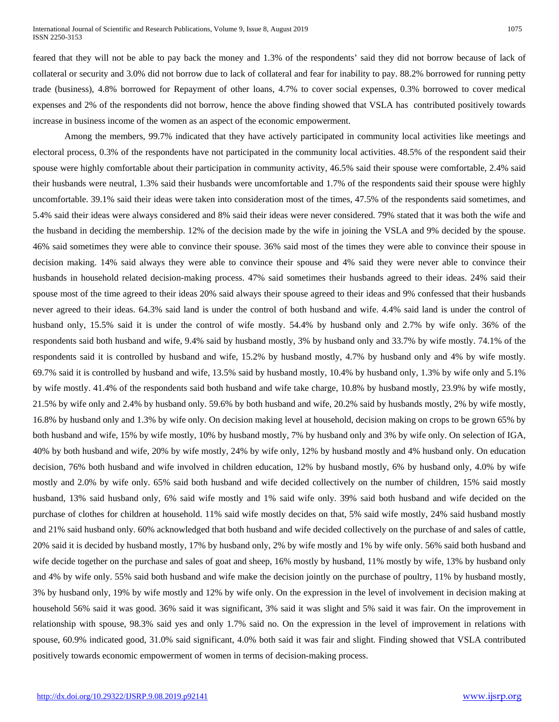feared that they will not be able to pay back the money and 1.3% of the respondents' said they did not borrow because of lack of collateral or security and 3.0% did not borrow due to lack of collateral and fear for inability to pay. 88.2% borrowed for running petty trade (business), 4.8% borrowed for Repayment of other loans, 4.7% to cover social expenses, 0.3% borrowed to cover medical expenses and 2% of the respondents did not borrow, hence the above finding showed that VSLA has contributed positively towards increase in business income of the women as an aspect of the economic empowerment.

Among the members, 99.7% indicated that they have actively participated in community local activities like meetings and electoral process, 0.3% of the respondents have not participated in the community local activities. 48.5% of the respondent said their spouse were highly comfortable about their participation in community activity, 46.5% said their spouse were comfortable, 2.4% said their husbands were neutral, 1.3% said their husbands were uncomfortable and 1.7% of the respondents said their spouse were highly uncomfortable. 39.1% said their ideas were taken into consideration most of the times, 47.5% of the respondents said sometimes, and 5.4% said their ideas were always considered and 8% said their ideas were never considered. 79% stated that it was both the wife and the husband in deciding the membership. 12% of the decision made by the wife in joining the VSLA and 9% decided by the spouse. 46% said sometimes they were able to convince their spouse. 36% said most of the times they were able to convince their spouse in decision making. 14% said always they were able to convince their spouse and 4% said they were never able to convince their husbands in household related decision-making process. 47% said sometimes their husbands agreed to their ideas. 24% said their spouse most of the time agreed to their ideas 20% said always their spouse agreed to their ideas and 9% confessed that their husbands never agreed to their ideas. 64.3% said land is under the control of both husband and wife. 4.4% said land is under the control of husband only, 15.5% said it is under the control of wife mostly. 54.4% by husband only and 2.7% by wife only. 36% of the respondents said both husband and wife, 9.4% said by husband mostly, 3% by husband only and 33.7% by wife mostly. 74.1% of the respondents said it is controlled by husband and wife, 15.2% by husband mostly, 4.7% by husband only and 4% by wife mostly. 69.7% said it is controlled by husband and wife, 13.5% said by husband mostly, 10.4% by husband only, 1.3% by wife only and 5.1% by wife mostly. 41.4% of the respondents said both husband and wife take charge, 10.8% by husband mostly, 23.9% by wife mostly, 21.5% by wife only and 2.4% by husband only. 59.6% by both husband and wife, 20.2% said by husbands mostly, 2% by wife mostly, 16.8% by husband only and 1.3% by wife only. On decision making level at household, decision making on crops to be grown 65% by both husband and wife, 15% by wife mostly, 10% by husband mostly, 7% by husband only and 3% by wife only. On selection of IGA, 40% by both husband and wife, 20% by wife mostly, 24% by wife only, 12% by husband mostly and 4% husband only. On education decision, 76% both husband and wife involved in children education, 12% by husband mostly, 6% by husband only, 4.0% by wife mostly and 2.0% by wife only. 65% said both husband and wife decided collectively on the number of children, 15% said mostly husband, 13% said husband only, 6% said wife mostly and 1% said wife only. 39% said both husband and wife decided on the purchase of clothes for children at household. 11% said wife mostly decides on that, 5% said wife mostly, 24% said husband mostly and 21% said husband only. 60% acknowledged that both husband and wife decided collectively on the purchase of and sales of cattle, 20% said it is decided by husband mostly, 17% by husband only, 2% by wife mostly and 1% by wife only. 56% said both husband and wife decide together on the purchase and sales of goat and sheep, 16% mostly by husband, 11% mostly by wife, 13% by husband only and 4% by wife only. 55% said both husband and wife make the decision jointly on the purchase of poultry, 11% by husband mostly, 3% by husband only, 19% by wife mostly and 12% by wife only. On the expression in the level of involvement in decision making at household 56% said it was good. 36% said it was significant, 3% said it was slight and 5% said it was fair. On the improvement in relationship with spouse, 98.3% said yes and only 1.7% said no. On the expression in the level of improvement in relations with spouse, 60.9% indicated good, 31.0% said significant, 4.0% both said it was fair and slight. Finding showed that VSLA contributed positively towards economic empowerment of women in terms of decision-making process.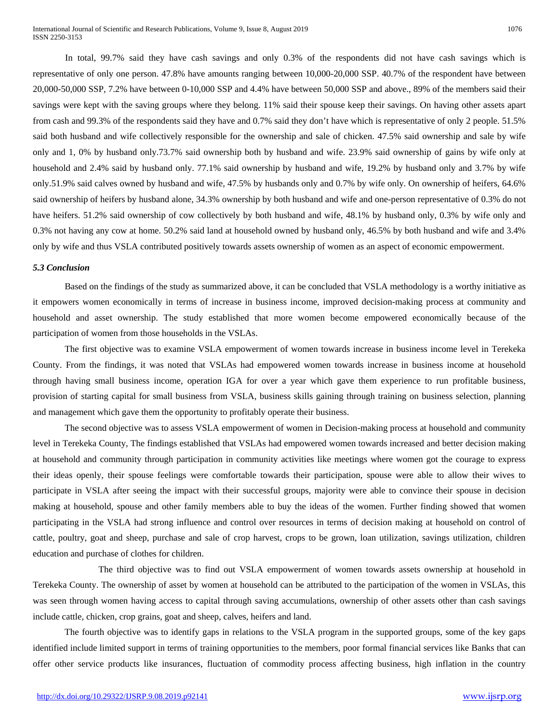In total, 99.7% said they have cash savings and only 0.3% of the respondents did not have cash savings which is representative of only one person. 47.8% have amounts ranging between 10,000-20,000 SSP. 40.7% of the respondent have between 20,000-50,000 SSP, 7.2% have between 0-10,000 SSP and 4.4% have between 50,000 SSP and above., 89% of the members said their savings were kept with the saving groups where they belong. 11% said their spouse keep their savings. On having other assets apart from cash and 99.3% of the respondents said they have and 0.7% said they don't have which is representative of only 2 people. 51.5% said both husband and wife collectively responsible for the ownership and sale of chicken. 47.5% said ownership and sale by wife only and 1, 0% by husband only.73.7% said ownership both by husband and wife. 23.9% said ownership of gains by wife only at household and 2.4% said by husband only. 77.1% said ownership by husband and wife, 19.2% by husband only and 3.7% by wife only.51.9% said calves owned by husband and wife, 47.5% by husbands only and 0.7% by wife only. On ownership of heifers, 64.6% said ownership of heifers by husband alone, 34.3% ownership by both husband and wife and one-person representative of 0.3% do not have heifers. 51.2% said ownership of cow collectively by both husband and wife, 48.1% by husband only, 0.3% by wife only and 0.3% not having any cow at home. 50.2% said land at household owned by husband only, 46.5% by both husband and wife and 3.4% only by wife and thus VSLA contributed positively towards assets ownership of women as an aspect of economic empowerment.

#### *5.3 Conclusion*

Based on the findings of the study as summarized above, it can be concluded that VSLA methodology is a worthy initiative as it empowers women economically in terms of increase in business income, improved decision-making process at community and household and asset ownership. The study established that more women become empowered economically because of the participation of women from those households in the VSLAs.

The first objective was to examine VSLA empowerment of women towards increase in business income level in Terekeka County. From the findings, it was noted that VSLAs had empowered women towards increase in business income at household through having small business income, operation IGA for over a year which gave them experience to run profitable business, provision of starting capital for small business from VSLA, business skills gaining through training on business selection, planning and management which gave them the opportunity to profitably operate their business.

The second objective was to assess VSLA empowerment of women in Decision-making process at household and community level in Terekeka County, The findings established that VSLAs had empowered women towards increased and better decision making at household and community through participation in community activities like meetings where women got the courage to express their ideas openly, their spouse feelings were comfortable towards their participation, spouse were able to allow their wives to participate in VSLA after seeing the impact with their successful groups, majority were able to convince their spouse in decision making at household, spouse and other family members able to buy the ideas of the women. Further finding showed that women participating in the VSLA had strong influence and control over resources in terms of decision making at household on control of cattle, poultry, goat and sheep, purchase and sale of crop harvest, crops to be grown, loan utilization, savings utilization, children education and purchase of clothes for children.

The third objective was to find out VSLA empowerment of women towards assets ownership at household in Terekeka County. The ownership of asset by women at household can be attributed to the participation of the women in VSLAs, this was seen through women having access to capital through saving accumulations, ownership of other assets other than cash savings include cattle, chicken, crop grains, goat and sheep, calves, heifers and land.

The fourth objective was to identify gaps in relations to the VSLA program in the supported groups, some of the key gaps identified include limited support in terms of training opportunities to the members, poor formal financial services like Banks that can offer other service products like insurances, fluctuation of commodity process affecting business, high inflation in the country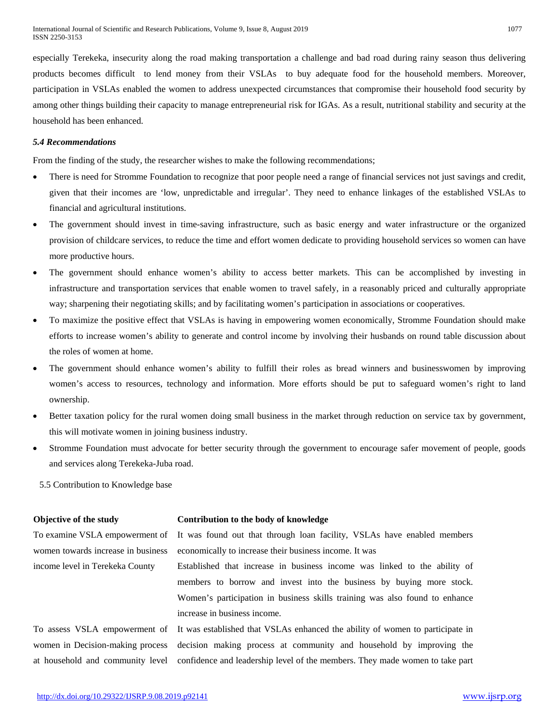especially Terekeka, insecurity along the road making transportation a challenge and bad road during rainy season thus delivering products becomes difficult to lend money from their VSLAs to buy adequate food for the household members. Moreover, participation in VSLAs enabled the women to address unexpected circumstances that compromise their household food security by among other things building their capacity to manage entrepreneurial risk for IGAs. As a result, nutritional stability and security at the household has been enhanced.

#### *5.4 Recommendations*

From the finding of the study, the researcher wishes to make the following recommendations;

- There is need for Stromme Foundation to recognize that poor people need a range of financial services not just savings and credit, given that their incomes are 'low, unpredictable and irregular'. They need to enhance linkages of the established VSLAs to financial and agricultural institutions.
- The government should invest in time-saving infrastructure, such as basic energy and water infrastructure or the organized provision of childcare services, to reduce the time and effort women dedicate to providing household services so women can have more productive hours.
- The government should enhance women's ability to access better markets. This can be accomplished by investing in infrastructure and transportation services that enable women to travel safely, in a reasonably priced and culturally appropriate way; sharpening their negotiating skills; and by facilitating women's participation in associations or cooperatives.
- To maximize the positive effect that VSLAs is having in empowering women economically, Stromme Foundation should make efforts to increase women's ability to generate and control income by involving their husbands on round table discussion about the roles of women at home.
- The government should enhance women's ability to fulfill their roles as bread winners and businesswomen by improving women's access to resources, technology and information. More efforts should be put to safeguard women's right to land ownership.
- Better taxation policy for the rural women doing small business in the market through reduction on service tax by government, this will motivate women in joining business industry.
- Stromme Foundation must advocate for better security through the government to encourage safer movement of people, goods and services along Terekeka-Juba road.

5.5 Contribution to Knowledge base

To examine VSLA empowerment of women towards increase in business income level in Terekeka County

# **Objective of the study Contribution to the body of knowledge**

It was found out that through loan facility, VSLAs have enabled members economically to increase their business income. It was

Established that increase in business income was linked to the ability of members to borrow and invest into the business by buying more stock. Women's participation in business skills training was also found to enhance increase in business income.

To assess VSLA empowerment of women in Decision-making process at household and community level It was established that VSLAs enhanced the ability of women to participate in decision making process at community and household by improving the confidence and leadership level of the members. They made women to take part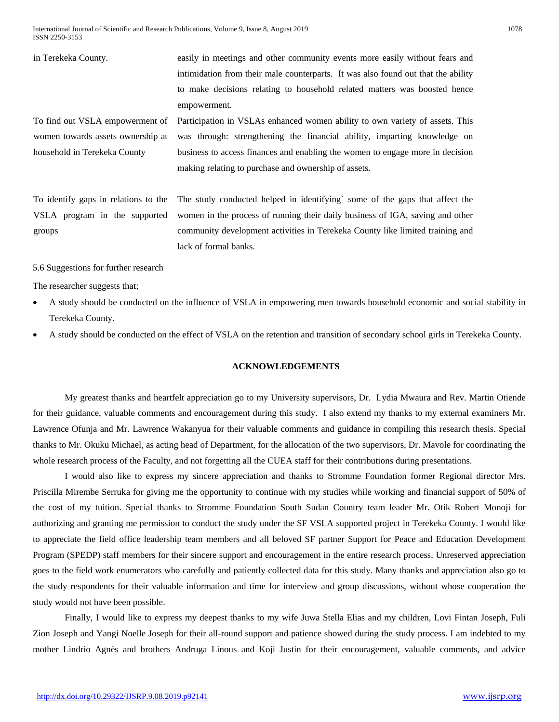International Journal of Scientific and Research Publications, Volume 9, Issue 8, August 2019 1078 ISSN 2250-3153

in Terekeka County. easily in meetings and other community events more easily without fears and intimidation from their male counterparts. It was also found out that the ability to make decisions relating to household related matters was boosted hence empowerment. To find out VSLA empowerment of women towards assets ownership at household in Terekeka County Participation in VSLAs enhanced women ability to own variety of assets. This was through: strengthening the financial ability, imparting knowledge on business to access finances and enabling the women to engage more in decision making relating to purchase and ownership of assets. To identify gaps in relations to the VSLA program in the supported The study conducted helped in identifying` some of the gaps that affect the

women in the process of running their daily business of IGA, saving and other community development activities in Terekeka County like limited training and lack of formal banks.

5.6 Suggestions for further research

The researcher suggests that;

groups

- A study should be conducted on the influence of VSLA in empowering men towards household economic and social stability in Terekeka County.
- A study should be conducted on the effect of VSLA on the retention and transition of secondary school girls in Terekeka County.

# **ACKNOWLEDGEMENTS**

My greatest thanks and heartfelt appreciation go to my University supervisors, Dr. Lydia Mwaura and Rev. Martin Otiende for their guidance, valuable comments and encouragement during this study. I also extend my thanks to my external examiners Mr. Lawrence Ofunja and Mr. Lawrence Wakanyua for their valuable comments and guidance in compiling this research thesis. Special thanks to Mr. Okuku Michael, as acting head of Department, for the allocation of the two supervisors, Dr. Mavole for coordinating the whole research process of the Faculty, and not forgetting all the CUEA staff for their contributions during presentations.

I would also like to express my sincere appreciation and thanks to Stromme Foundation former Regional director Mrs. Priscilla Mirembe Serruka for giving me the opportunity to continue with my studies while working and financial support of 50% of the cost of my tuition. Special thanks to Stromme Foundation South Sudan Country team leader Mr. Otik Robert Monoji for authorizing and granting me permission to conduct the study under the SF VSLA supported project in Terekeka County. I would like to appreciate the field office leadership team members and all beloved SF partner Support for Peace and Education Development Program (SPEDP) staff members for their sincere support and encouragement in the entire research process. Unreserved appreciation goes to the field work enumerators who carefully and patiently collected data for this study. Many thanks and appreciation also go to the study respondents for their valuable information and time for interview and group discussions, without whose cooperation the study would not have been possible.

Finally, I would like to express my deepest thanks to my wife Juwa Stella Elias and my children, Lovi Fintan Joseph, Fuli Zion Joseph and Yangi Noelle Joseph for their all-round support and patience showed during the study process. I am indebted to my mother Lindrio Agnès and brothers Andruga Linous and Koji Justin for their encouragement, valuable comments, and advice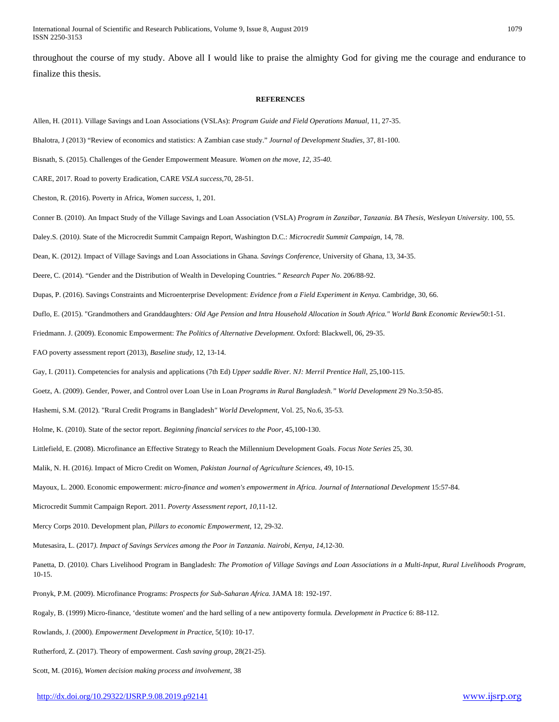throughout the course of my study. Above all I would like to praise the almighty God for giving me the courage and endurance to finalize this thesis.

#### **REFERENCES**

Allen, H. (2011). Village Savings and Loan Associations (VSLAs): *Program Guide and Field Operations Manual*, 11, 27-35.

Bhalotra, J (2013) "Review of economics and statistics: A Zambian case study." *Journal of Development Studies,* 37, 81-100.

Bisnath, S. (2015). Challenges of the Gender Empowerment Measure*. Women on the move, 12, 35-40.*

CARE, 2017. Road to poverty Eradication, CARE *VSLA success,*70, 28-51.

Cheston, R. (2016). Poverty in Africa, *Women success*, 1, 201*.*

Conner B. (2010). An Impact Study of the Village Savings and Loan Association (VSLA) *Program in Zanzibar, Tanzania. BA Thesis, Wesleyan University*. 100, 55.

Daley.S. (2010*).* State of the Microcredit Summit Campaign Report, Washington D.C.: *Microcredit Summit Campaign*, 14, 78.

Dean, K. (2012*).* Impact of Village Savings and Loan Associations in Ghana*. Savings Conference,* University of Ghana, 13, 34-35.

Deere, C. (2014). "Gender and the Distribution of Wealth in Developing Countries*." Research Paper No*. 206/88-92.

Dupas, P. (2016). Savings Constraints and Microenterprise Development: *Evidence from a Field Experiment in Kenya.* Cambridge, 30, 66.

Duflo, E. (2015). "Grandmothers and Granddaughters*: Old Age Pension and Intra Household Allocation in South Africa." World Bank Economic Review*50:1-51.

Friedmann. J. (2009). Economic Empowerment: *The Politics of Alternative Development.* Oxford: Blackwell, 06, 29-35.

FAO poverty assessment report (2013), *Baseline study*, 12, 13-14.

Gay, I. (2011). Competencies for analysis and applications (7th Ed) *Upper saddle River. NJ: Merril Prentice Hall,* 25,100-115.

Goetz, A. (2009). Gender, Power, and Control over Loan Use in Loan *Programs in Rural Bangladesh." World Development* 29 No.3:50-85.

Hashemi, S.M. (2012). "Rural Credit Programs in Bangladesh*" World Development,* Vol. 25, No.6, 35-53.

Holme, K. (2010). State of the sector report. *Beginning financial services to the Poor*, 45,100-130.

Littlefield, E. (2008). Microfinance an Effective Strategy to Reach the Millennium Development Goals. *Focus Note Series* 25, 30.

Malik, N. H. (2016*).* Impact of Micro Credit on Women*, Pakistan Journal of Agriculture Sciences*, 49, 10-15.

Mayoux, L. 2000. Economic empowerment: *micro-finance and women's empowerment in Africa. Journal of International Development* 15:57-84.

Microcredit Summit Campaign Report. 2011. *Poverty Assessment report, 10,*11-12.

Mercy Corps 2010. Development plan, *Pillars to economic Empowerment*, 12, 29-32.

Mutesasira, L. (2017*). Impact of Savings Services among the Poor in Tanzania. Nairobi, Kenya, 14,*12-30.

Panetta, D. (2010*).* Chars Livelihood Program in Bangladesh: *The Promotion of Village Savings and Loan Associations in a Multi-Input, Rural Livelihoods Program,* 10-15.

Pronyk, P.M. (2009). Microfinance Programs: *Prospects for Sub-Saharan Africa.* JAMA 18: 192-197.

Rogaly, B. (1999) Micro-finance, 'destitute women' and the hard selling of a new antipoverty formula*. Development in Practice* 6: 88-112.

Rowlands, J. (2000). *Empowerment Development in Practice*, 5(10): 10-17.

Rutherford, Z. (2017). Theory of empowerment. *Cash saving group,* 28(21-25).

Scott, M. (2016), *Women decision making process and involvement,* 38